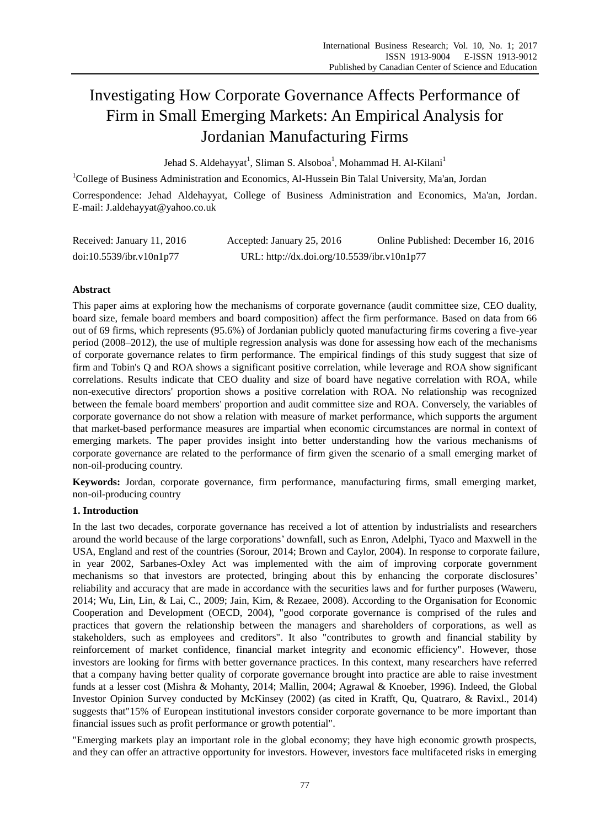# Investigating How Corporate Governance Affects Performance of Firm in Small Emerging Markets: An Empirical Analysis for Jordanian Manufacturing Firms

Jehad S. Aldehayyat<sup>1</sup>, Sliman S. Alsoboa<sup>1</sup>, Mohammad H. Al-Kilani<sup>1</sup>

<sup>1</sup>College of Business Administration and Economics, Al-Hussein Bin Talal University, Ma'an, Jordan Correspondence: Jehad Aldehayyat, College of Business Administration and Economics, Ma'an, Jordan.

E-mail: J.aldehayyat@yahoo.co.uk

| Received: January 11, 2016 | Accepted: January 25, 2016                  | Online Published: December 16, 2016 |
|----------------------------|---------------------------------------------|-------------------------------------|
| doi:10.5539/ibr.v10n1p77   | URL: http://dx.doi.org/10.5539/ibr.v10n1p77 |                                     |

# **Abstract**

This paper aims at exploring how the mechanisms of corporate governance (audit committee size, CEO duality, board size, female board members and board composition) affect the firm performance. Based on data from 66 out of 69 firms, which represents (95.6%) of Jordanian publicly quoted manufacturing firms covering a five-year period (2008–2012), the use of multiple regression analysis was done for assessing how each of the mechanisms of corporate governance relates to firm performance. The empirical findings of this study suggest that size of firm and Tobin's Q and ROA shows a significant positive correlation, while leverage and ROA show significant correlations. Results indicate that CEO duality and size of board have negative correlation with ROA, while non-executive directors' proportion shows a positive correlation with ROA. No relationship was recognized between the female board members' proportion and audit committee size and ROA. Conversely, the variables of corporate governance do not show a relation with measure of market performance, which supports the argument that market-based performance measures are impartial when economic circumstances are normal in context of emerging markets. The paper provides insight into better understanding how the various mechanisms of corporate governance are related to the performance of firm given the scenario of a small emerging market of non-oil-producing country.

**Keywords:** Jordan, corporate governance, firm performance, manufacturing firms, small emerging market, non-oil-producing country

## **1. Introduction**

In the last two decades, corporate governance has received a lot of attention by industrialists and researchers around the world because of the large corporations' downfall, such as Enron, Adelphi, Tyaco and Maxwell in the USA, England and rest of the countries (Sorour, 2014; Brown and Caylor, 2004). In response to corporate failure, in year 2002, Sarbanes-Oxley Act was implemented with the aim of improving corporate government mechanisms so that investors are protected, bringing about this by enhancing the corporate disclosures' reliability and accuracy that are made in accordance with the securities laws and for further purposes (Waweru, 2014; Wu, Lin, Lin, & Lai, C., 2009; Jain, Kim, & Rezaee, 2008). According to the Organisation for Economic Cooperation and Development (OECD, 2004), "good corporate governance is comprised of the rules and practices that govern the relationship between the managers and shareholders of corporations, as well as stakeholders, such as employees and creditors". It also "contributes to growth and financial stability by reinforcement of market confidence, financial market integrity and economic efficiency". However, those investors are looking for firms with better governance practices. In this context, many researchers have referred that a company having better quality of corporate governance brought into practice are able to raise investment funds at a lesser cost (Mishra & Mohanty, 2014; Mallin, 2004; Agrawal & Knoeber, 1996). Indeed, the Global Investor Opinion Survey conducted by McKinsey (2002) (as cited in Krafft, Qu, Quatraro, & Ravixl., 2014) suggests that"15% of European institutional investors consider corporate governance to be more important than financial issues such as profit performance or growth potential".

"Emerging markets play an important role in the global economy; they have high economic growth prospects, and they can offer an attractive opportunity for investors. However, investors face multifaceted risks in emerging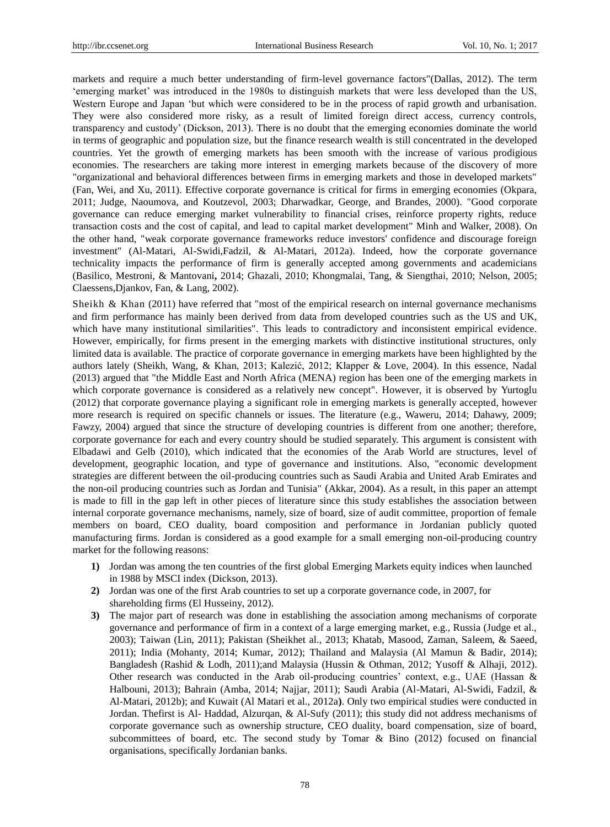markets and require a much better understanding of firm-level governance factors"(Dallas, 2012). The term 'emerging market' was introduced in the 1980s to distinguish markets that were less developed than the US, Western Europe and Japan 'but which were considered to be in the process of rapid growth and urbanisation. They were also considered more risky, as a result of limited foreign direct access, currency controls, transparency and custody' (Dickson, 2013). There is no doubt that the emerging economies dominate the world in terms of geographic and population size, but the finance research wealth is still concentrated in the developed countries. Yet the growth of emerging markets has been smooth with the increase of various prodigious economies. The researchers are taking more interest in emerging markets because of the discovery of more "organizational and behavioral differences between firms in emerging markets and those in developed markets" (Fan, Wei, and Xu, 2011). Effective corporate governance is critical for firms in emerging economies (Okpara, 2011; Judge, Naoumova, and Koutzevol, 2003; Dharwadkar, George, and Brandes, 2000). "Good corporate governance can reduce emerging market vulnerability to financial crises, reinforce property rights, reduce transaction costs and the cost of capital, and lead to capital market development" Minh and Walker, 2008). On the other hand, "weak corporate governance frameworks reduce investors' confidence and discourage foreign investment" (Al-Matari, Al-Swidi,Fadzil, & Al-Matari, 2012a). Indeed, how the corporate governance technicality impacts the performance of firm is generally accepted among governments and academicians (Basilico, Mestroni, & Mantovani**,** 2014; Ghazali, 2010; Khongmalai, Tang, & Siengthai, 2010; Nelson, 2005; Claessens,Djankov, Fan, & Lang, 2002).

Sheikh & Khan (2011) have referred that "most of the empirical research on internal governance mechanisms and firm performance has mainly been derived from data from developed countries such as the US and UK, which have many institutional similarities". This leads to contradictory and inconsistent empirical evidence. However, empirically, for firms present in the emerging markets with distinctive institutional structures, only limited data is available. The practice of corporate governance in emerging markets have been highlighted by the authors lately (Sheikh, Wang, & Khan, 2013; Kalezić, 2012; Klapper & Love, 2004). In this essence, Nadal (2013) argued that "the Middle East and North Africa (MENA) region has been one of the emerging markets in which corporate governance is considered as a relatively new concept". However, it is observed by Yurtoglu (2012) that corporate governance playing a significant role in emerging markets is generally accepted, however more research is required on specific channels or issues. The literature (e.g., Waweru, 2014; Dahawy, 2009; Fawzy, 2004) argued that since the structure of developing countries is different from one another; therefore, corporate governance for each and every country should be studied separately. This argument is consistent with Elbadawi and Gelb (2010), which indicated that the economies of the Arab World are structures, level of development, geographic location, and type of governance and institutions. Also, "economic development strategies are different between the oil-producing countries such as Saudi Arabia and United Arab Emirates and the non-oil producing countries such as Jordan and Tunisia" (Akkar, 2004). As a result, in this paper an attempt is made to fill in the gap left in other pieces of literature since this study establishes the association between internal corporate governance mechanisms, namely, size of board, size of audit committee, proportion of female members on board, CEO duality, board composition and performance in Jordanian publicly quoted manufacturing firms. Jordan is considered as a good example for a small emerging non-oil-producing country market for the following reasons:

- **1)** Jordan was among the ten countries of the first global Emerging Markets equity indices when launched in 1988 by MSCI index (Dickson, 2013).
- **2)** Jordan was one of the first Arab countries to set up a corporate governance code, in 2007, for shareholding firms (El Husseiny, 2012).
- **3)** The major part of research was done in establishing the association among mechanisms of corporate governance and performance of firm in a context of a large emerging market, e.g., Russia (Judge et al., 2003); Taiwan (Lin, 2011); Pakistan (Sheikhet al., 2013; Khatab, Masood, Zaman, Saleem, & Saeed, 2011); India (Mohanty, 2014; Kumar, 2012); Thailand and Malaysia (Al Mamun & Badir, 2014); Bangladesh (Rashid & Lodh, 2011);and Malaysia (Hussin & Othman, 2012; Yusoff & Alhaji, 2012). Other research was conducted in the Arab oil-producing countries' context, e.g., UAE (Hassan & Halbouni, 2013); Bahrain (Amba, 2014; Najjar, 2011); Saudi Arabia (Al-Matari, Al-Swidi, Fadzil, & Al-Matari, 2012b); and Kuwait (Al Matari et al., 2012a**)**. Only two empirical studies were conducted in Jordan. Thefirst is Al- Haddad, Alzurqan, & Al-Sufy (2011); this study did not address mechanisms of corporate governance such as ownership structure, CEO duality, board compensation, size of board, subcommittees of board, etc. The second study by Tomar & Bino (2012) focused on financial organisations, specifically Jordanian banks.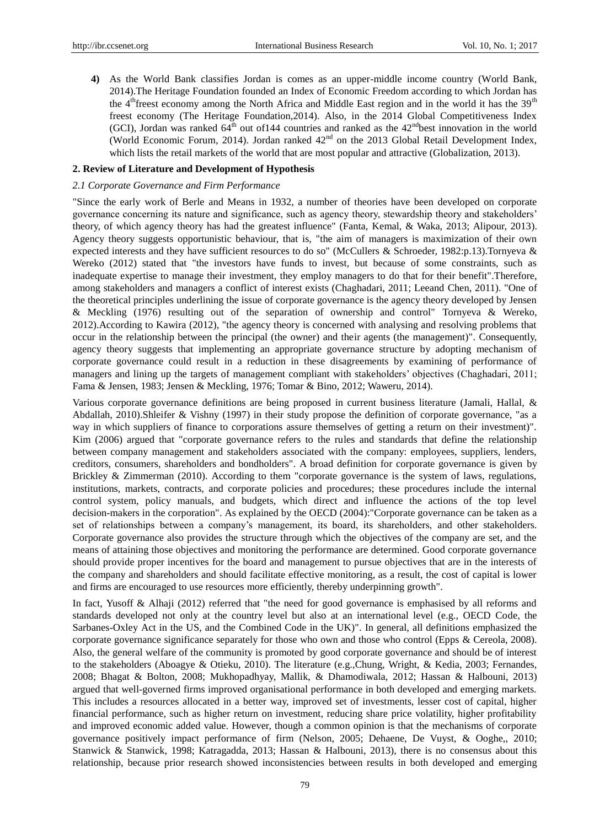**4)** As the World Bank classifies Jordan is comes as an upper-middle income country (World Bank, 2014).The Heritage Foundation founded an Index of Economic Freedom according to which Jordan has the 4<sup>th</sup>freest economy among the North Africa and Middle East region and in the world it has the 39<sup>th</sup> freest economy (The Heritage Foundation,2014). Also, in the 2014 Global Competitiveness Index (GCI), Jordan was ranked  $64^{th}$  out of 144 countries and ranked as the  $42^{nd}$ best innovation in the world (World Economic Forum, 2014). Jordan ranked  $42<sup>nd</sup>$  on the 2013 Global Retail Development Index, which lists the retail markets of the world that are most popular and attractive (Globalization, 2013).

## **2. Review of Literature and Development of Hypothesis**

## *2.1 Corporate Governance and Firm Performance*

"Since the early work of Berle and Means in 1932, a number of theories have been developed on corporate governance concerning its nature and significance, such as agency theory, stewardship theory and stakeholders' theory, of which agency theory has had the greatest influence" (Fanta, Kemal, & Waka, 2013; Alipour, 2013). Agency theory suggests opportunistic behaviour, that is, "the aim of managers is maximization of their own expected interests and they have sufficient resources to do so" (McCullers & Schroeder, 1982:p.13).Tornyeva & Wereko (2012) stated that "the investors have funds to invest, but because of some constraints, such as inadequate expertise to manage their investment, they employ managers to do that for their benefit".Therefore, among stakeholders and managers a conflict of interest exists (Chaghadari, 2011; Leeand Chen, 2011). "One of the theoretical principles underlining the issue of corporate governance is the agency theory developed by Jensen & Meckling (1976) resulting out of the separation of ownership and control" Tornyeva & Wereko, 2012).According to Kawira (2012), "the agency theory is concerned with analysing and resolving problems that occur in the relationship between the principal (the owner) and their agents (the management)". Consequently, agency theory suggests that implementing an appropriate governance structure by adopting mechanism of corporate governance could result in a reduction in these disagreements by examining of performance of managers and lining up the targets of management compliant with stakeholders' objectives (Chaghadari, 2011; Fama & Jensen, 1983; Jensen & Meckling, 1976; Tomar & Bino, 2012; Waweru, 2014).

Various corporate governance definitions are being proposed in current business literature (Jamali, Hallal, & Abdallah, 2010).Shleifer & Vishny (1997) in their study propose the definition of corporate governance, "as a way in which suppliers of finance to corporations assure themselves of getting a return on their investment)". Kim (2006) argued that "corporate governance refers to the rules and standards that define the relationship between company management and stakeholders associated with the company: employees, suppliers, lenders, creditors, consumers, shareholders and bondholders". A broad definition for corporate governance is given by Brickley & Zimmerman (2010). According to them "corporate governance is the system of laws, regulations, institutions, markets, contracts, and corporate policies and procedures; these procedures include the internal control system, policy manuals, and budgets, which direct and influence the actions of the top level decision-makers in the corporation". As explained by the OECD (2004):"Corporate governance can be taken as a set of relationships between a company's management, its board, its shareholders, and other stakeholders. Corporate governance also provides the structure through which the objectives of the company are set, and the means of attaining those objectives and monitoring the performance are determined. Good corporate governance should provide proper incentives for the board and management to pursue objectives that are in the interests of the company and shareholders and should facilitate effective monitoring, as a result, the cost of capital is lower and firms are encouraged to use resources more efficiently, thereby underpinning growth".

In fact, Yusoff & Alhaji (2012) referred that "the need for good governance is emphasised by all reforms and standards developed not only at the country level but also at an international level (e.g., OECD Code, the Sarbanes-Oxley Act in the US, and the Combined Code in the UK)". In general, all definitions emphasized the corporate governance significance separately for those who own and those who control (Epps & Cereola, 2008). Also, the general welfare of the community is promoted by good corporate governance and should be of interest to the stakeholders (Aboagye & Otieku, 2010). The literature (e.g.,Chung, Wright, & Kedia, 2003; Fernandes, 2008; Bhagat & Bolton, 2008; Mukhopadhyay, Mallik, & Dhamodiwala, 2012; Hassan & Halbouni, 2013) argued that well-governed firms improved organisational performance in both developed and emerging markets. This includes a resources allocated in a better way, improved set of investments, lesser cost of capital, higher financial performance, such as higher return on investment, reducing share price volatility, higher profitability and improved economic added value. However, though a common opinion is that the mechanisms of corporate governance positively impact performance of firm (Nelson, 2005; Dehaene, De Vuyst, & Ooghe,, 2010; Stanwick & Stanwick, 1998; Katragadda, 2013; Hassan & Halbouni, 2013), there is no consensus about this relationship, because prior research showed inconsistencies between results in both developed and emerging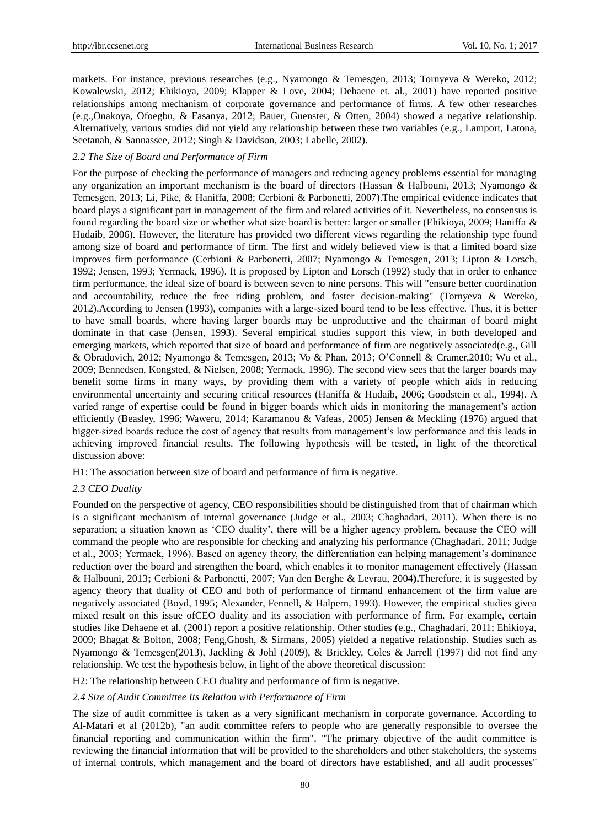markets. For instance, previous researches (e.g., Nyamongo & Temesgen, 2013; Tornyeva & Wereko, 2012; Kowalewski, 2012; Ehikioya, 2009; Klapper & Love, 2004; Dehaene et. al., 2001) have reported positive relationships among mechanism of corporate governance and performance of firms. A few other researches (e.g.,Onakoya, Ofoegbu, & Fasanya, 2012; Bauer, Guenster, & Otten, 2004) showed a negative relationship. Alternatively, various studies did not yield any relationship between these two variables (e.g., Lamport, Latona, Seetanah, & Sannassee, 2012; Singh & Davidson, 2003; Labelle, 2002).

## *2.2 The Size of Board and Performance of Firm*

For the purpose of checking the performance of managers and reducing agency problems essential for managing any organization an important mechanism is the board of directors (Hassan & Halbouni, 2013; Nyamongo & Temesgen, 2013; Li, Pike, & Haniffa, 2008; Cerbioni & Parbonetti, 2007).The empirical evidence indicates that board plays a significant part in management of the firm and related activities of it. Nevertheless, no consensus is found regarding the board size or whether what size board is better: larger or smaller (Ehikioya, 2009; Haniffa & Hudaib, 2006). However, the literature has provided two different views regarding the relationship type found among size of board and performance of firm. The first and widely believed view is that a limited board size improves firm performance (Cerbioni & Parbonetti, 2007; Nyamongo & Temesgen, 2013; Lipton & Lorsch, 1992; Jensen, 1993; Yermack, 1996). It is proposed by Lipton and Lorsch (1992) study that in order to enhance firm performance, the ideal size of board is between seven to nine persons. This will "ensure better coordination and accountability, reduce the free riding problem, and faster decision-making" (Tornyeva & Wereko, 2012).According to Jensen (1993), companies with a large-sized board tend to be less effective. Thus, it is better to have small boards, where having larger boards may be unproductive and the chairman of board might dominate in that case (Jensen, 1993). Several empirical studies support this view, in both developed and emerging markets, which reported that size of board and performance of firm are negatively associated(e.g., Gill & Obradovich, 2012; Nyamongo & Temesgen, 2013; Vo & Phan, 2013; O'Connell & Cramer,2010; Wu et al., 2009; Bennedsen, Kongsted, & Nielsen, 2008; Yermack, 1996). The second view sees that the larger boards may benefit some firms in many ways, by providing them with a variety of people which aids in reducing environmental uncertainty and securing critical resources (Haniffa & Hudaib, 2006; Goodstein et al., 1994). A varied range of expertise could be found in bigger boards which aids in monitoring the management's action efficiently (Beasley, 1996; Waweru, 2014; Karamanou & Vafeas, 2005) Jensen & Meckling (1976) argued that bigger-sized boards reduce the cost of agency that results from management's low performance and this leads in achieving improved financial results. The following hypothesis will be tested, in light of the theoretical discussion above:

H1: The association between size of board and performance of firm is negative.

## *2.3 CEO Duality*

Founded on the perspective of agency, CEO responsibilities should be distinguished from that of chairman which is a significant mechanism of internal governance (Judge et al., 2003; Chaghadari, 2011). When there is no separation; a situation known as 'CEO duality', there will be a higher agency problem, because the CEO will command the people who are responsible for checking and analyzing his performance (Chaghadari, 2011; Judge et al., 2003; Yermack, 1996). Based on agency theory, the differentiation can helping management's dominance reduction over the board and strengthen the board, which enables it to monitor management effectively (Hassan & Halbouni, 2013**;** Cerbioni & Parbonetti, 2007; Van den Berghe & Levrau, 2004**).**Therefore, it is suggested by agency theory that duality of CEO and both of performance of firmand enhancement of the firm value are negatively associated (Boyd, 1995; Alexander, Fennell, & Halpern, 1993). However, the empirical studies givea mixed result on this issue ofCEO duality and its association with performance of firm. For example, certain studies like Dehaene et al. (2001) report a positive relationship. Other studies (e.g., Chaghadari, 2011; Ehikioya, 2009; Bhagat & Bolton, 2008; Feng,Ghosh, & Sirmans, 2005) yielded a negative relationship. Studies such as Nyamongo & Temesgen(2013), Jackling & Johl (2009), & Brickley, Coles & Jarrell (1997) did not find any relationship. We test the hypothesis below, in light of the above theoretical discussion:

H2: The relationship between CEO duality and performance of firm is negative.

### *2.4 Size of Audit Committee Its Relation with Performance of Firm*

The size of audit committee is taken as a very significant mechanism in corporate governance. According to Al-Matari et al (2012b), "an audit committee refers to people who are generally responsible to oversee the financial reporting and communication within the firm". "The primary objective of the audit committee is reviewing the financial information that will be provided to the shareholders and other stakeholders, the systems of internal controls, which management and the board of directors have established, and all audit processes"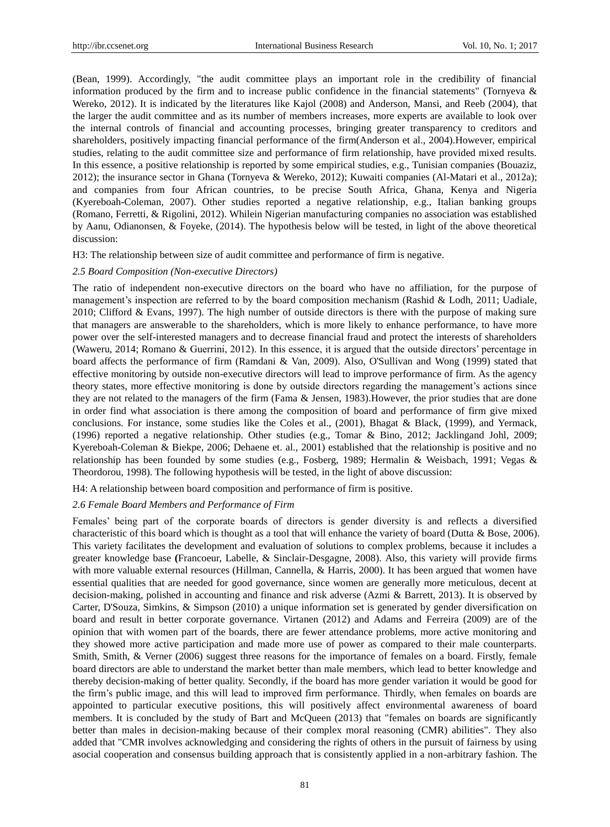(Bean, 1999). Accordingly, "the audit committee plays an important role in the credibility of financial information produced by the firm and to increase public confidence in the financial statements" (Tornyeva & Wereko, 2012). It is indicated by the literatures like Kajol (2008) and Anderson, Mansi, and Reeb (2004), that the larger the audit committee and as its number of members increases, more experts are available to look over the internal controls of financial and accounting processes, bringing greater transparency to creditors and shareholders, positively impacting financial performance of the firm(Anderson et al., 2004).However, empirical studies, relating to the audit committee size and performance of firm relationship, have provided mixed results. In this essence, a positive relationship is reported by some empirical studies, e.g., Tunisian companies (Bouaziz, 2012); the insurance sector in Ghana (Tornyeva & Wereko, 2012); Kuwaiti companies (Al-Matari et al., 2012a); and companies from four African countries, to be precise South Africa, Ghana, Kenya and Nigeria (Kyereboah-Coleman, 2007). Other studies reported a negative relationship, e.g., Italian banking groups (Romano, Ferretti, & Rigolini, 2012). Whilein Nigerian manufacturing companies no association was established by Aanu, Odianonsen, & Foyeke, (2014). The hypothesis below will be tested, in light of the above theoretical discussion:

H3: The relationship between size of audit committee and performance of firm is negative.

## *2.5 Board Composition (Non-executive Directors)*

The ratio of independent non-executive directors on the board who have no affiliation, for the purpose of management's inspection are referred to by the board composition mechanism (Rashid & Lodh, 2011; Uadiale, 2010; Clifford & Evans, 1997). The high number of outside directors is there with the purpose of making sure that managers are answerable to the shareholders, which is more likely to enhance performance, to have more power over the self-interested managers and to decrease financial fraud and protect the interests of shareholders (Waweru, 2014; Romano & Guerrini, 2012). In this essence, it is argued that the outside directors' percentage in board affects the performance of firm (Ramdani & Van, 2009). Also, O'Sullivan and Wong (1999) stated that effective monitoring by outside non-executive directors will lead to improve performance of firm. As the agency theory states, more effective monitoring is done by outside directors regarding the management's actions since they are not related to the managers of the firm (Fama & Jensen, 1983).However, the prior studies that are done in order find what association is there among the composition of board and performance of firm give mixed conclusions. For instance, some studies like the Coles et al., (2001), Bhagat & Black, (1999), and Yermack, (1996) reported a negative relationship. Other studies (e.g., Tomar & Bino, 2012; Jacklingand Johl, 2009; Kyereboah-Coleman & Biekpe, 2006; Dehaene et. al., 2001) established that the relationship is positive and no relationship has been founded by some studies (e.g., Fosberg, 1989; Hermalin & Weisbach, 1991; Vegas & Theordorou, 1998). The following hypothesis will be tested, in the light of above discussion:

H4: A relationship between board composition and performance of firm is positive.

## *2.6 Female Board Members and Performance of Firm*

Females' being part of the corporate boards of directors is gender diversity is and reflects a diversified characteristic of this board which is thought as a tool that will enhance the variety of board (Dutta & Bose, 2006). This variety facilitates the development and evaluation of solutions to complex problems, because it includes a greater knowledge base **(**Francoeur, Labelle, & Sinclair-Desgagne, 2008). Also, this variety will provide firms with more valuable external resources (Hillman, Cannella, & Harris, 2000). It has been argued that women have essential qualities that are needed for good governance, since women are generally more meticulous, decent at decision-making, polished in accounting and finance and risk adverse (Azmi & Barrett, 2013). It is observed by Carter, D'Souza, Simkins, & Simpson (2010) a unique information set is generated by gender diversification on board and result in better corporate governance. Virtanen (2012) and Adams and Ferreira (2009) are of the opinion that with women part of the boards, there are fewer attendance problems, more active monitoring and they showed more active participation and made more use of power as compared to their male counterparts. Smith, Smith, & Verner (2006) suggest three reasons for the importance of females on a board. Firstly, female board directors are able to understand the market better than male members, which lead to better knowledge and thereby decision-making of better quality. Secondly, if the board has more gender variation it would be good for the firm's public image, and this will lead to improved firm performance. Thirdly, when females on boards are appointed to particular executive positions, this will positively affect environmental awareness of board members. It is concluded by the study of Bart and McQueen (2013) that "females on boards are significantly better than males in decision-making because of their complex moral reasoning (CMR) abilities". They also added that "CMR involves acknowledging and considering the rights of others in the pursuit of fairness by using asocial cooperation and consensus building approach that is consistently applied in a non-arbitrary fashion. The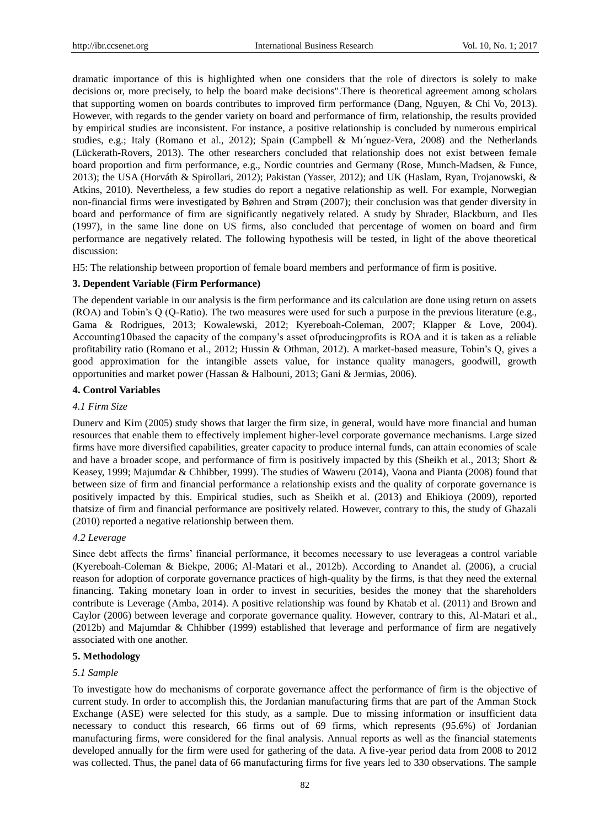dramatic importance of this is highlighted when one considers that the role of directors is solely to make decisions or, more precisely, to help the board make decisions".There is theoretical agreement among scholars that supporting women on boards contributes to improved firm performance (Dang, Nguyen, & Chi Vo, 2013). However, with regards to the gender variety on board and performance of firm, relationship, the results provided by empirical studies are inconsistent. For instance, a positive relationship is concluded by numerous empirical studies, e.g.; Italy (Romano et al., 2012); Spain (Campbell & Mı´nguez-Vera, 2008) and the Netherlands (Lückerath-Rovers, 2013). The other researchers concluded that relationship does not exist between female board proportion and firm performance, e.g., Nordic countries and Germany (Rose, Munch-Madsen, & Funce, 2013); the USA (Horváth & Spirollari, 2012); Pakistan (Yasser, 2012); and UK (Haslam, Ryan, Trojanowski, & Atkins, 2010). Nevertheless, a few studies do report a negative relationship as well. For example, Norwegian non-financial firms were investigated by Bøhren and Strøm (2007); their conclusion was that gender diversity in board and performance of firm are significantly negatively related. A study by Shrader, Blackburn, and Iles (1997), in the same line done on US firms, also concluded that percentage of women on board and firm performance are negatively related. The following hypothesis will be tested, in light of the above theoretical discussion:

H5: The relationship between proportion of female board members and performance of firm is positive.

# **3. Dependent Variable (Firm Performance)**

The dependent variable in our analysis is the firm performance and its calculation are done using return on assets (ROA) and Tobin's Q (Q-Ratio). The two measures were used for such a purpose in the previous literature (e.g., Gama & Rodrigues, 2013; Kowalewski, 2012; Kyereboah-Coleman, 2007; Klapper & Love, 2004). Accounting10based the capacity of the company's asset ofproducingprofits is ROA and it is taken as a reliable profitability ratio (Romano et al., 2012; Hussin & Othman, 2012). A market-based measure, Tobin's Q, gives a good approximation for the intangible assets value, for instance quality managers, goodwill, growth opportunities and market power (Hassan & Halbouni, 2013; Gani & Jermias, 2006).

# **4. Control Variables**

# *4.1 Firm Size*

Dunerv and Kim (2005) study shows that larger the firm size, in general, would have more financial and human resources that enable them to effectively implement higher-level corporate governance mechanisms. Large sized firms have more diversified capabilities, greater capacity to produce internal funds, can attain economies of scale and have a broader scope, and performance of firm is positively impacted by this (Sheikh et al., 2013; Short & Keasey, 1999; Majumdar & Chhibber, 1999). The studies of Waweru (2014), Vaona and Pianta (2008) found that between size of firm and financial performance a relationship exists and the quality of corporate governance is positively impacted by this. Empirical studies, such as Sheikh et al. (2013) and Ehikioya (2009), reported thatsize of firm and financial performance are positively related. However, contrary to this, the study of Ghazali (2010) reported a negative relationship between them.

## *4.2 Leverage*

Since debt affects the firms' financial performance, it becomes necessary to use leverageas a control variable (Kyereboah-Coleman & Biekpe, 2006; Al-Matari et al., 2012b). According to Anandet al. (2006), a crucial reason for adoption of corporate governance practices of high-quality by the firms, is that they need the external financing. Taking monetary loan in order to invest in securities, besides the money that the shareholders contribute is Leverage (Amba, 2014). A positive relationship was found by Khatab et al. (2011) and Brown and Caylor (2006) between leverage and corporate governance quality. However, contrary to this, Al-Matari et al., (2012b) and Majumdar & Chhibber (1999) established that leverage and performance of firm are negatively associated with one another.

## **5. Methodology**

## *5.1 Sample*

To investigate how do mechanisms of corporate governance affect the performance of firm is the objective of current study. In order to accomplish this, the Jordanian manufacturing firms that are part of the Amman Stock Exchange (ASE) were selected for this study, as a sample. Due to missing information or insufficient data necessary to conduct this research, 66 firms out of 69 firms, which represents (95.6%) of Jordanian manufacturing firms, were considered for the final analysis. Annual reports as well as the financial statements developed annually for the firm were used for gathering of the data. A five-year period data from 2008 to 2012 was collected. Thus, the panel data of 66 manufacturing firms for five years led to 330 observations. The sample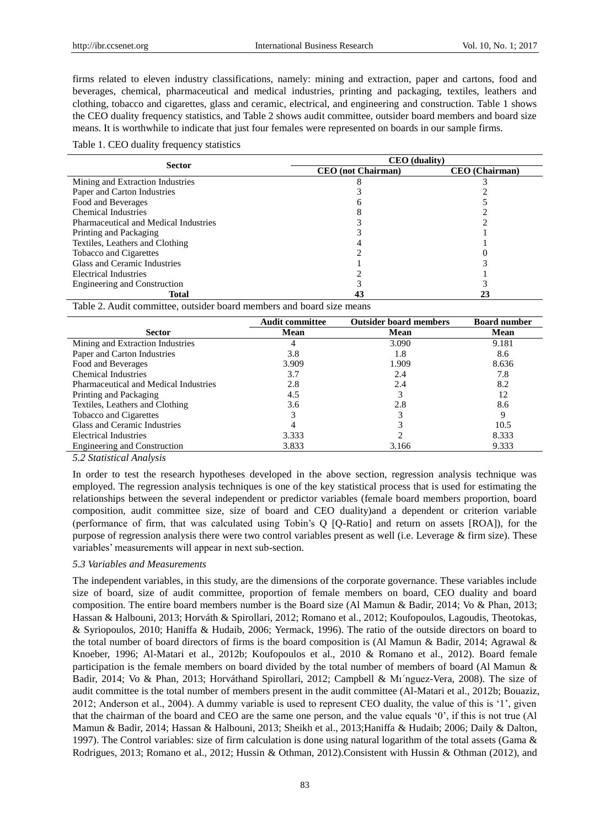firms related to eleven industry classifications, namely: mining and extraction, paper and cartons, food and beverages, chemical, pharmaceutical and medical industries, printing and packaging, textiles, leathers and clothing, tobacco and cigarettes, glass and ceramic, electrical, and engineering and construction. Table 1 shows the CEO duality frequency statistics, and Table 2 shows audit committee, outsider board members and board size means. It is worthwhile to indicate that just four females were represented on boards in our sample firms.

Table 1. CEO duality frequency statistics

| <b>Sector</b>                         | <b>CEO</b> (duality)      |                       |  |  |
|---------------------------------------|---------------------------|-----------------------|--|--|
|                                       | <b>CEO</b> (not Chairman) | <b>CEO</b> (Chairman) |  |  |
| Mining and Extraction Industries      |                           |                       |  |  |
| Paper and Carton Industries           |                           |                       |  |  |
| Food and Beverages                    |                           |                       |  |  |
| Chemical Industries                   |                           |                       |  |  |
| Pharmaceutical and Medical Industries |                           |                       |  |  |
| Printing and Packaging                |                           |                       |  |  |
| Textiles, Leathers and Clothing       |                           |                       |  |  |
| Tobacco and Cigarettes                |                           |                       |  |  |
| Glass and Ceramic Industries          |                           |                       |  |  |
| Electrical Industries                 |                           |                       |  |  |
| <b>Engineering and Construction</b>   |                           |                       |  |  |
| <b>Total</b>                          |                           |                       |  |  |

Table 2. Audit committee, outsider board members and board size means

|                                       | <b>Audit committee</b> | <b>Outsider board members</b> | <b>Board number</b> |
|---------------------------------------|------------------------|-------------------------------|---------------------|
| <b>Sector</b>                         | Mean                   | Mean                          | Mean                |
| Mining and Extraction Industries      |                        | 3.090                         | 9.181               |
| Paper and Carton Industries           | 3.8                    | 1.8                           | 8.6                 |
| Food and Beverages                    | 3.909                  | 1.909                         | 8.636               |
| Chemical Industries                   | 3.7                    | 2.4                           | 7.8                 |
| Pharmaceutical and Medical Industries | 2.8                    | 2.4                           | 8.2                 |
| Printing and Packaging                | 4.5                    | 3                             | 12                  |
| Textiles, Leathers and Clothing       | 3.6                    | 2.8                           | 8.6                 |
| Tobacco and Cigarettes                |                        |                               | 9                   |
| Glass and Ceramic Industries          |                        |                               | 10.5                |
| Electrical Industries                 | 3.333                  |                               | 8.333               |
| <b>Engineering and Construction</b>   | 3.833                  | 3.166                         | 9.333               |

*5.2 Statistical Analysis*

In order to test the research hypotheses developed in the above section, regression analysis technique was employed. The regression analysis techniques is one of the key statistical process that is used for estimating the relationships between the several independent or predictor variables (female board members proportion, board composition, audit committee size, size of board and CEO duality)and a dependent or criterion variable (performance of firm, that was calculated using Tobin's Q [Q-Ratio] and return on assets [ROA]), for the purpose of regression analysis there were two control variables present as well (i.e. Leverage & firm size). These variables' measurements will appear in next sub-section.

### *5.3 Variables and Measurements*

The independent variables, in this study, are the dimensions of the corporate governance. These variables include size of board, size of audit committee, proportion of female members on board, CEO duality and board composition. The entire board members number is the Board size (Al Mamun & Badir, 2014; Vo & Phan, 2013; Hassan & Halbouni, 2013; Horváth & Spirollari, 2012; Romano et al., 2012; Koufopoulos, Lagoudis, Theotokas, & Syriopoulos, 2010; Haniffa & Hudaib, 2006; Yermack, 1996). The ratio of the outside directors on board to the total number of board directors of firms is the board composition is (Al Mamun & Badir, 2014; Agrawal & Knoeber, 1996; Al-Matari et al., 2012b; Koufopoulos et al., 2010 & Romano et al., 2012). Board female participation is the female members on board divided by the total number of members of board (Al Mamun & Badir, 2014; Vo & Phan, 2013; Horváthand Spirollari, 2012; Campbell & Mı´nguez-Vera, 2008). The size of audit committee is the total number of members present in the audit committee (Al-Matari et al., 2012b; Bouaziz, 2012; Anderson et al., 2004). A dummy variable is used to represent CEO duality, the value of this is '1', given that the chairman of the board and CEO are the same one person, and the value equals '0', if this is not true (Al Mamun & Badir, 2014; Hassan & Halbouni, 2013; Sheikh et al., 2013;Haniffa & Hudaib; 2006; Daily & Dalton, 1997). The Control variables: size of firm calculation is done using natural logarithm of the total assets (Gama & Rodrigues, 2013; Romano et al., 2012; Hussin & Othman, 2012).Consistent with Hussin & Othman (2012), and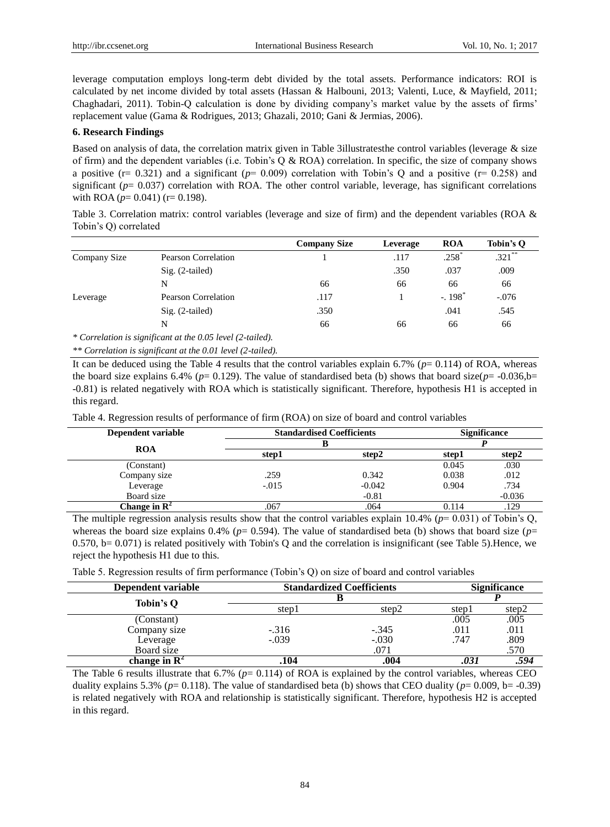leverage computation employs long-term debt divided by the total assets. Performance indicators: ROI is calculated by net income divided by total assets (Hassan & Halbouni, 2013; Valenti, Luce, & Mayfield, 2011; Chaghadari, 2011). Tobin-Q calculation is done by dividing company's market value by the assets of firms' replacement value (Gama & Rodrigues, 2013; Ghazali, 2010; Gani & Jermias, 2006).

### **6. Research Findings**

Based on analysis of data, the correlation matrix given in Table 3illustratesthe control variables (leverage & size of firm) and the dependent variables (i.e. Tobin's  $Q \& ROA$ ) correlation. In specific, the size of company shows a positive ( $r= 0.321$ ) and a significant ( $p= 0.009$ ) correlation with Tobin's Q and a positive ( $r= 0.258$ ) and significant ( $p= 0.037$ ) correlation with ROA. The other control variable, leverage, has significant correlations with ROA ( $p= 0.041$ ) ( $r= 0.198$ ).

Table 3. Correlation matrix: control variables (leverage and size of firm) and the dependent variables (ROA & Tobin's Q) correlated

|              |                                                            | <b>Company Size</b> | Leverage | <b>ROA</b>           | Tobin's O |
|--------------|------------------------------------------------------------|---------------------|----------|----------------------|-----------|
| Company Size | <b>Pearson Correlation</b>                                 |                     | .117     | $.258*$              | $.321$ ** |
|              | $Sig. (2-tailed)$                                          |                     | .350     | .037                 | .009      |
|              | N                                                          | 66                  | 66       | 66                   | 66        |
| Leverage     | <b>Pearson Correlation</b>                                 | .117                |          | $-.198$ <sup>*</sup> | $-.076$   |
|              | $Sig. (2-tailed)$                                          | .350                |          | .041                 | .545      |
|              | N                                                          | 66                  | 66       | 66                   | 66        |
|              | $*$ Correlation is significant at the 0.05 level $(2 \nta$ |                     |          |                      |           |

*\* Correlation is significant at the 0.05 level (2-tailed).*

*\*\* Correlation is significant at the 0.01 level (2-tailed).*

It can be deduced using the Table 4 results that the control variables explain 6.7% (*p*= 0.114) of ROA, whereas the board size explains 6.4% ( $p= 0.129$ ). The value of standardised beta (b) shows that board size( $p=$ -0.036,b= -0.81) is related negatively with ROA which is statistically significant. Therefore, hypothesis H1 is accepted in this regard.

Table 4. Regression results of performance of firm (ROA) on size of board and control variables

| Dependent variable       | <b>Standardised Coefficients</b> | <b>Significance</b> |       |          |
|--------------------------|----------------------------------|---------------------|-------|----------|
|                          |                                  |                     |       |          |
| <b>ROA</b>               | step1                            | step2               | step1 | step2    |
| (Constant)               |                                  |                     | 0.045 | .030     |
| Company size             | .259                             | 0.342               | 0.038 | .012     |
| Leverage                 | $-.015$                          | $-0.042$            | 0.904 | .734     |
| Board size               |                                  | $-0.81$             |       | $-0.036$ |
| Change in $\mathbb{R}^2$ | .067                             | .064                | 0.114 | .129     |

The multiple regression analysis results show that the control variables explain 10.4% (*p*= 0.031) of Tobin's Q, whereas the board size explains 0.4% ( $p= 0.594$ ). The value of standardised beta (b) shows that board size ( $p=$ 0.570, b= 0.071) is related positively with Tobin's Q and the correlation is insignificant (see Table 5). Hence, we reject the hypothesis H1 due to this.

|  |  | Table 5. Regression results of firm performance (Tobin's Q) on size of board and control variables |  |  |  |  |
|--|--|----------------------------------------------------------------------------------------------------|--|--|--|--|
|  |  |                                                                                                    |  |  |  |  |

| Dependent variable       |         | <b>Standardized Coefficients</b> |       | <b>Significance</b> |  |
|--------------------------|---------|----------------------------------|-------|---------------------|--|
| Tobin's O                |         |                                  |       |                     |  |
|                          | step1   | step2                            | stepl | step2               |  |
| (Constant)               |         |                                  | .005  | .005                |  |
| Company size             | $-.316$ | $-.345$                          | .011  | .011                |  |
| Leverage                 | $-.039$ | $-.030$                          | .747  | .809                |  |
| Board size               |         | .071                             |       | .570                |  |
| change in $\mathbb{R}^2$ | .104    | .004                             |       | .594                |  |

The Table 6 results illustrate that 6.7% (*p*= 0.114) of ROA is explained by the control variables, whereas CEO duality explains 5.3% ( $p= 0.118$ ). The value of standardised beta (b) shows that CEO duality ( $p= 0.009$ ,  $b= -0.39$ ) is related negatively with ROA and relationship is statistically significant. Therefore, hypothesis H2 is accepted in this regard.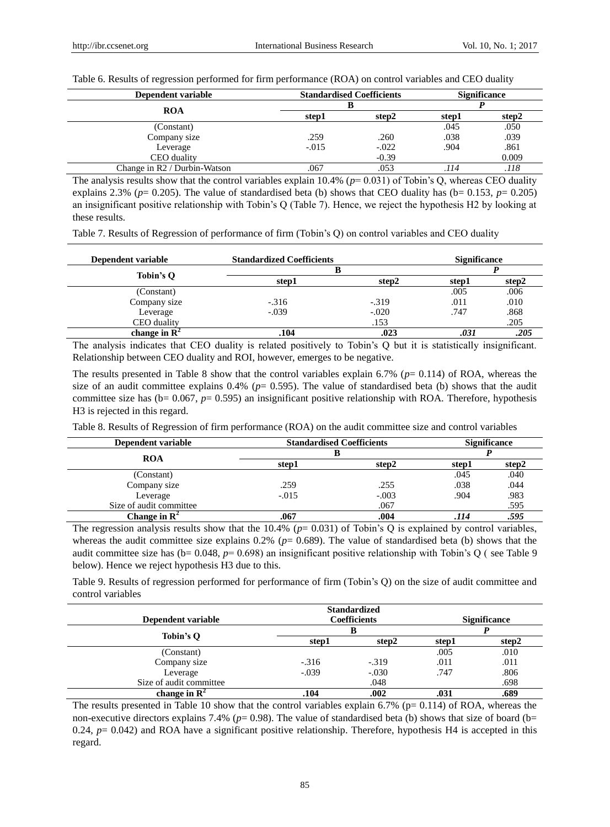Table 6. Results of regression performed for firm performance (ROA) on control variables and CEO duality

| Dependent variable           | <b>Standardised Coefficients</b> |         | <b>Significance</b> |       |
|------------------------------|----------------------------------|---------|---------------------|-------|
| <b>ROA</b>                   |                                  |         |                     |       |
|                              | step1                            | step2   | step1               | step2 |
| (Constant)                   |                                  |         | .045                | .050  |
| Company size                 | .259                             | .260    | .038                | .039  |
| Leverage                     | $-.015$                          | $-.022$ | .904                | .861  |
| CEO duality                  |                                  | $-0.39$ |                     | 0.009 |
| Change in R2 / Durbin-Watson | .067                             | .053    | .114                | .118  |

The analysis results show that the control variables explain  $10.4\%$  ( $p=0.031$ ) of Tobin's Q, whereas CEO duality explains 2.3% ( $p= 0.205$ ). The value of standardised beta (b) shows that CEO duality has ( $b= 0.153$ ,  $p= 0.205$ ) an insignificant positive relationship with Tobin's Q (Table 7). Hence, we reject the hypothesis H2 by looking at these results.

Table 7. Results of Regression of performance of firm (Tobin's Q) on control variables and CEO duality

| Dependent variable       | <b>Standardized Coefficients</b> |         | <b>Significance</b> |       |
|--------------------------|----------------------------------|---------|---------------------|-------|
|                          | В                                |         |                     |       |
| Tobin's O                | step1                            | step2   | step1               | step2 |
| (Constant)               |                                  |         | .005                | .006  |
| Company size             | $-.316$                          | $-.319$ | .011                | .010  |
| Leverage                 | $-.039$                          | $-.020$ | .747                | .868  |
| CEO duality              |                                  | .153    |                     | .205  |
| change in $\mathbb{R}^2$ | .104                             | .023    | .03.                | .205  |

The analysis indicates that CEO duality is related positively to Tobin's Q but it is statistically insignificant. Relationship between CEO duality and ROI, however, emerges to be negative.

The results presented in Table 8 show that the control variables explain 6.7% (*p*= 0.114) of ROA, whereas the size of an audit committee explains  $0.4\%$  ( $p= 0.595$ ). The value of standardised beta (b) shows that the audit committee size has ( $b= 0.067$ ,  $p= 0.595$ ) an insignificant positive relationship with ROA. Therefore, hypothesis H3 is rejected in this regard.

Table 8. Results of Regression of firm performance (ROA) on the audit committee size and control variables

| Dependent variable       | <b>Standardised Coefficients</b> |         | <b>Significance</b> |       |
|--------------------------|----------------------------------|---------|---------------------|-------|
|                          |                                  |         |                     |       |
| <b>ROA</b>               | step1                            | step2   | step1               | step2 |
| (Constant)               |                                  |         | .045                | .040  |
| Company size             | .259                             | .255    | .038                | .044  |
| Leverage                 | $-.015$                          | $-.003$ | .904                | .983  |
| Size of audit committee  |                                  | .067    |                     | .595  |
| Change in $\mathbf{R}^2$ | .067                             | .004    | .114                | .595  |

The regression analysis results show that the  $10.4\%$  ( $p= 0.031$ ) of Tobin's Q is explained by control variables, whereas the audit committee size explains  $0.2\%$  ( $p= 0.689$ ). The value of standardised beta (b) shows that the audit committee size has (b= 0.048, *p*= 0.698) an insignificant positive relationship with Tobin's Q ( see Table 9 below). Hence we reject hypothesis H3 due to this.

Table 9. Results of regression performed for performance of firm (Tobin's Q) on the size of audit committee and control variables

|                          |         | <b>Standardized</b> |       |                     |  |  |
|--------------------------|---------|---------------------|-------|---------------------|--|--|
| Dependent variable       |         | <b>Coefficients</b> |       | <b>Significance</b> |  |  |
|                          |         |                     |       |                     |  |  |
| Tobin's Q                | step1   | step2               | step1 | step2               |  |  |
| (Constant)               |         |                     | .005  | .010                |  |  |
| Company size             | $-316$  | $-319$              | .011  | .011                |  |  |
| Leverage                 | $-.039$ | $-.030$             | .747  | .806                |  |  |
| Size of audit committee  |         | .048                |       | .698                |  |  |
| change in $\mathbb{R}^2$ | .104    | .002                |       | .689                |  |  |

The results presented in Table 10 show that the control variables explain 6.7% ( $p= 0.114$ ) of ROA, whereas the non-executive directors explains 7.4% ( $p= 0.98$ ). The value of standardised beta (b) shows that size of board (b= 0.24,  $p = 0.042$ ) and ROA have a significant positive relationship. Therefore, hypothesis H4 is accepted in this regard.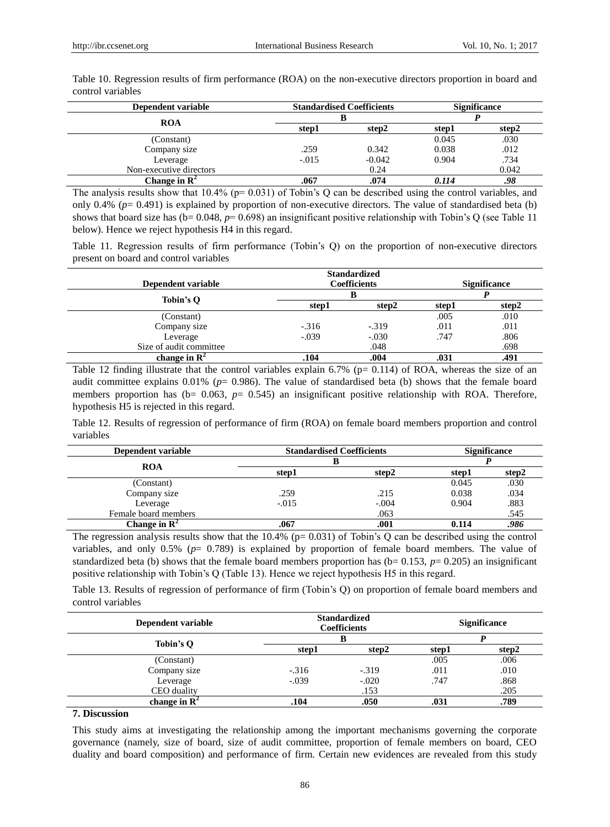| Dependent variable       |         | <b>Standardised Coefficients</b> |       | <b>Significance</b> |
|--------------------------|---------|----------------------------------|-------|---------------------|
|                          |         |                                  |       |                     |
| <b>ROA</b>               | step1   | step2                            | step1 | step2               |
| (Constant)               |         |                                  | 0.045 | .030                |
| Company size             | .259    | 0.342                            | 0.038 | .012                |
| Leverage                 | $-.015$ | $-0.042$                         | 0.904 | .734                |
| Non-executive directors  |         | 0.24                             |       | 0.042               |
| Change in $\mathbb{R}^2$ | .067    | .074                             | 0.114 | .98                 |

Table 10. Regression results of firm performance (ROA) on the non-executive directors proportion in board and control variables

The analysis results show that  $10.4\%$  (p= 0.031) of Tobin's Q can be described using the control variables, and only  $0.4\%$  ( $p=0.491$ ) is explained by proportion of non-executive directors. The value of standardised beta (b) shows that board size has ( $b= 0.048$ ,  $p= 0.698$ ) an insignificant positive relationship with Tobin's Q (see Table 11) below). Hence we reject hypothesis H4 in this regard.

Table 11. Regression results of firm performance (Tobin's Q) on the proportion of non-executive directors present on board and control variables

|                          |                     | <b>Standardized</b> |                     |       |
|--------------------------|---------------------|---------------------|---------------------|-------|
| Dependent variable       | <b>Coefficients</b> |                     | <b>Significance</b> |       |
| Tobin's Q                |                     |                     |                     |       |
|                          | step1               | step2               | step1               | step2 |
| (Constant)               |                     |                     | .005                | .010  |
| Company size             | $-.316$             | $-0.319$            | .011                | .011  |
| Leverage                 | $-.039$             | $-.030$             | .747                | .806  |
| Size of audit committee  |                     | .048                |                     | .698  |
| change in $\mathbb{R}^2$ | .104                | .004                |                     | .491  |

Table 12 finding illustrate that the control variables explain 6.7% ( $p= 0.114$ ) of ROA, whereas the size of an audit committee explains 0.01% (*p*= 0.986). The value of standardised beta (b) shows that the female board members proportion has  $(b= 0.063, p= 0.545)$  an insignificant positive relationship with ROA. Therefore, hypothesis H5 is rejected in this regard.

Table 12. Results of regression of performance of firm (ROA) on female board members proportion and control variables

| Dependent variable       | <b>Standardised Coefficients</b> |         | <b>Significance</b> |       |
|--------------------------|----------------------------------|---------|---------------------|-------|
| <b>ROA</b>               |                                  |         |                     |       |
|                          | step1                            | step2   | step1               | step2 |
| (Constant)               |                                  |         | 0.045               | .030  |
| Company size             | .259                             | .215    | 0.038               | .034  |
| Leverage                 | $-.015$                          | $-.004$ | 0.904               | .883  |
| Female board members     |                                  | .063    |                     | .545  |
| Change in $\mathbb{R}^2$ | .067                             | .001    | 0.114               | .986  |

The regression analysis results show that the 10.4% (p= 0.031) of Tobin's Q can be described using the control variables, and only  $0.5\%$  ( $p= 0.789$ ) is explained by proportion of female board members. The value of standardized beta (b) shows that the female board members proportion has  $(b= 0.153, p= 0.205)$  an insignificant positive relationship with Tobin's Q (Table 13). Hence we reject hypothesis H5 in this regard.

Table 13. Results of regression of performance of firm (Tobin's Q) on proportion of female board members and control variables

| Dependent variable       | <b>Standardized</b><br><b>Coefficients</b> |         | <b>Significance</b> |       |
|--------------------------|--------------------------------------------|---------|---------------------|-------|
| Tobin's Q                |                                            |         |                     |       |
|                          | step1                                      | step2   | step1               | step2 |
| (Constant)               |                                            |         | .005                | .006  |
| Company size             | $-.316$                                    | $-.319$ | .011                | .010  |
| Leverage                 | $-.039$                                    | $-.020$ | .747                | .868  |
| CEO duality              |                                            | .153    |                     | .205  |
| change in $\mathbb{R}^2$ | .104                                       | .050    | .031                | .789  |

**7. Discussion**

This study aims at investigating the relationship among the important mechanisms governing the corporate governance (namely, size of board, size of audit committee, proportion of female members on board, CEO duality and board composition) and performance of firm. Certain new evidences are revealed from this study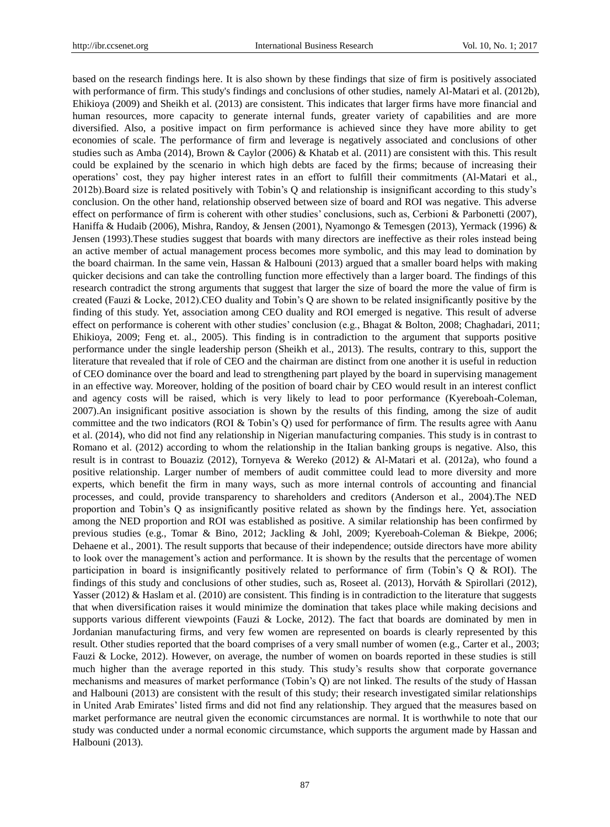based on the research findings here. It is also shown by these findings that size of firm is positively associated with performance of firm. This study's findings and conclusions of other studies, namely Al-Matari et al. (2012b), Ehikioya (2009) and Sheikh et al. (2013) are consistent. This indicates that larger firms have more financial and human resources, more capacity to generate internal funds, greater variety of capabilities and are more diversified. Also, a positive impact on firm performance is achieved since they have more ability to get economies of scale. The performance of firm and leverage is negatively associated and conclusions of other studies such as Amba (2014), Brown & Caylor (2006) & Khatab et al. (2011) are consistent with this. This result could be explained by the scenario in which high debts are faced by the firms; because of increasing their operations' cost, they pay higher interest rates in an effort to fulfill their commitments (Al-Matari et al., 2012b).Board size is related positively with Tobin's Q and relationship is insignificant according to this study's conclusion. On the other hand, relationship observed between size of board and ROI was negative. This adverse effect on performance of firm is coherent with other studies' conclusions, such as, Cerbioni & Parbonetti (2007), Haniffa & Hudaib (2006), Mishra, Randoy, & Jensen (2001), Nyamongo & Temesgen (2013), Yermack (1996) & Jensen (1993).These studies suggest that boards with many directors are ineffective as their roles instead being an active member of actual management process becomes more symbolic, and this may lead to domination by the board chairman. In the same vein, Hassan & Halbouni (2013) argued that a smaller board helps with making quicker decisions and can take the controlling function more effectively than a larger board. The findings of this research contradict the strong arguments that suggest that larger the size of board the more the value of firm is created (Fauzi & Locke, 2012).CEO duality and Tobin's Q are shown to be related insignificantly positive by the finding of this study. Yet, association among CEO duality and ROI emerged is negative. This result of adverse effect on performance is coherent with other studies' conclusion (e.g., Bhagat & Bolton, 2008; Chaghadari, 2011; Ehikioya, 2009; Feng et. al., 2005). This finding is in contradiction to the argument that supports positive performance under the single leadership person (Sheikh et al., 2013). The results, contrary to this, support the literature that revealed that if role of CEO and the chairman are distinct from one another it is useful in reduction of CEO dominance over the board and lead to strengthening part played by the board in supervising management in an effective way. Moreover, holding of the position of board chair by CEO would result in an interest conflict and agency costs will be raised, which is very likely to lead to poor performance (Kyereboah-Coleman, 2007).An insignificant positive association is shown by the results of this finding, among the size of audit committee and the two indicators (ROI & Tobin's Q) used for performance of firm. The results agree with Aanu et al. (2014), who did not find any relationship in Nigerian manufacturing companies. This study is in contrast to Romano et al. (2012) according to whom the relationship in the Italian banking groups is negative. Also, this result is in contrast to Bouaziz (2012), Tornyeva & Wereko (2012) & Al-Matari et al. (2012a), who found a positive relationship. Larger number of members of audit committee could lead to more diversity and more experts, which benefit the firm in many ways, such as more internal controls of accounting and financial processes, and could, provide transparency to shareholders and creditors (Anderson et al., 2004).The NED proportion and Tobin's Q as insignificantly positive related as shown by the findings here. Yet, association among the NED proportion and ROI was established as positive. A similar relationship has been confirmed by previous studies (e.g., Tomar & Bino, 2012; Jackling & Johl, 2009; Kyereboah-Coleman & Biekpe, 2006; Dehaene et al., 2001). The result supports that because of their independence; outside directors have more ability to look over the management's action and performance. It is shown by the results that the percentage of women participation in board is insignificantly positively related to performance of firm (Tobin's Q & ROI). The findings of this study and conclusions of other studies, such as, Roseet al. (2013), Horváth & Spirollari (2012), Yasser (2012) & Haslam et al. (2010) are consistent. This finding is in contradiction to the literature that suggests that when diversification raises it would minimize the domination that takes place while making decisions and supports various different viewpoints (Fauzi & Locke, 2012). The fact that boards are dominated by men in Jordanian manufacturing firms, and very few women are represented on boards is clearly represented by this result. Other studies reported that the board comprises of a very small number of women (e.g., Carter et al., 2003; Fauzi & Locke, 2012). However, on average, the number of women on boards reported in these studies is still much higher than the average reported in this study. This study's results show that corporate governance mechanisms and measures of market performance (Tobin's Q) are not linked. The results of the study of Hassan and Halbouni (2013) are consistent with the result of this study; their research investigated similar relationships in United Arab Emirates' listed firms and did not find any relationship. They argued that the measures based on market performance are neutral given the economic circumstances are normal. It is worthwhile to note that our study was conducted under a normal economic circumstance, which supports the argument made by Hassan and Halbouni (2013).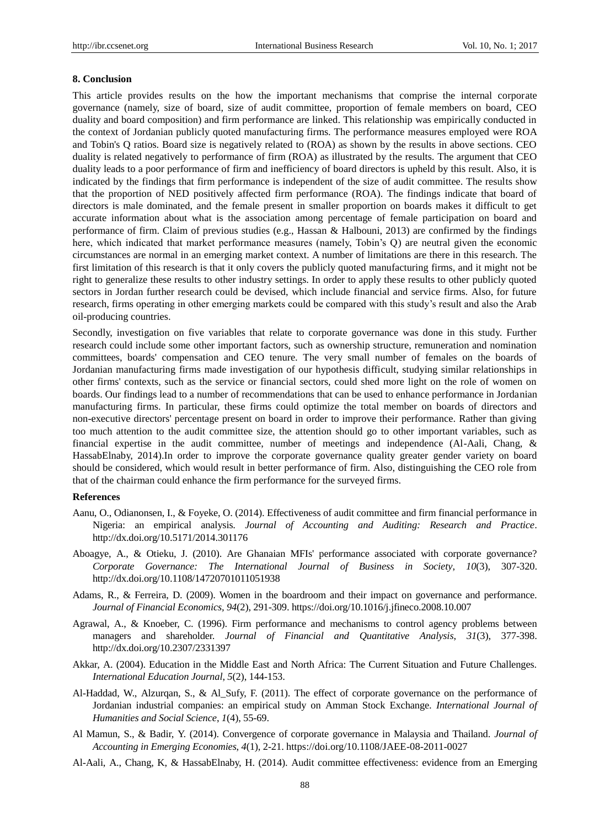## **8. Conclusion**

This article provides results on the how the important mechanisms that comprise the internal corporate governance (namely, size of board, size of audit committee, proportion of female members on board, CEO duality and board composition) and firm performance are linked. This relationship was empirically conducted in the context of Jordanian publicly quoted manufacturing firms. The performance measures employed were ROA and Tobin's Q ratios. Board size is negatively related to (ROA) as shown by the results in above sections. CEO duality is related negatively to performance of firm (ROA) as illustrated by the results. The argument that CEO duality leads to a poor performance of firm and inefficiency of board directors is upheld by this result. Also, it is indicated by the findings that firm performance is independent of the size of audit committee. The results show that the proportion of NED positively affected firm performance (ROA). The findings indicate that board of directors is male dominated, and the female present in smaller proportion on boards makes it difficult to get accurate information about what is the association among percentage of female participation on board and performance of firm. Claim of previous studies (e.g., Hassan & Halbouni, 2013) are confirmed by the findings here, which indicated that market performance measures (namely, Tobin's Q) are neutral given the economic circumstances are normal in an emerging market context. A number of limitations are there in this research. The first limitation of this research is that it only covers the publicly quoted manufacturing firms, and it might not be right to generalize these results to other industry settings. In order to apply these results to other publicly quoted sectors in Jordan further research could be devised, which include financial and service firms. Also, for future research, firms operating in other emerging markets could be compared with this study's result and also the Arab oil-producing countries.

Secondly, investigation on five variables that relate to corporate governance was done in this study. Further research could include some other important factors, such as ownership structure, remuneration and nomination committees, boards' compensation and CEO tenure. The very small number of females on the boards of Jordanian manufacturing firms made investigation of our hypothesis difficult, studying similar relationships in other firms' contexts, such as the service or financial sectors, could shed more light on the role of women on boards. Our findings lead to a number of recommendations that can be used to enhance performance in Jordanian manufacturing firms. In particular, these firms could optimize the total member on boards of directors and non-executive directors' percentage present on board in order to improve their performance. Rather than giving too much attention to the audit committee size, the attention should go to other important variables, such as financial expertise in the audit committee, number of meetings and independence (Al-Aali, Chang, & HassabElnaby, 2014).In order to improve the corporate governance quality greater gender variety on board should be considered, which would result in better performance of firm. Also, distinguishing the CEO role from that of the chairman could enhance the firm performance for the surveyed firms.

## **References**

- Aanu, O., Odianonsen, I., & Foyeke, O. (2014). Effectiveness of audit committee and firm financial performance in Nigeria: an empirical analysis. *Journal of Accounting and Auditing: Research and Practice*. http://dx.doi.org/10.5171/2014.301176
- Aboagye, A., & Otieku, J. (2010). Are Ghanaian MFIs' performance associated with corporate governance? *Corporate Governance: The International Journal of Business in Society*, *10*(3), 307-320. http://dx.doi.org/10.1108/14720701011051938
- Adams, R., & Ferreira, D. (2009). Women in the boardroom and their impact on governance and performance. *Journal of Financial Economics, 94*(2), 291-309. https://doi.org/10.1016/j.jfineco.2008.10.007
- Agrawal, A., & Knoeber, C. (1996). Firm performance and mechanisms to control agency problems between managers and shareholder. *Journal of Financial and Quantitative Analysis*, *31*(3), 377-398. <http://dx.doi.org/10.2307/2331397>
- Akkar, A. (2004). Education in the Middle East and North Africa: The Current Situation and Future Challenges. *International Education Journal*, *5*(2), 144-153.
- Al-Haddad, W., Alzurqan, S., & Al\_Sufy, F. (2011). The effect of corporate governance on the performance of Jordanian industrial companies: an empirical study on Amman Stock Exchange. *International Journal of Humanities and Social Science*, *1*(4), 55-69.
- Al Mamun, S., & Badir, Y. (2014). Convergence of corporate governance in Malaysia and Thailand. *Journal of Accounting in Emerging Economies*, *4*(1), 2-21[. https://doi.org/10.1108/JAEE-08-2011-0027](https://doi.org/10.1108/JAEE-08-2011-0027)
- Al-Aali, A., Chang, K, & HassabElnaby, H. (2014). Audit committee effectiveness: evidence from an Emerging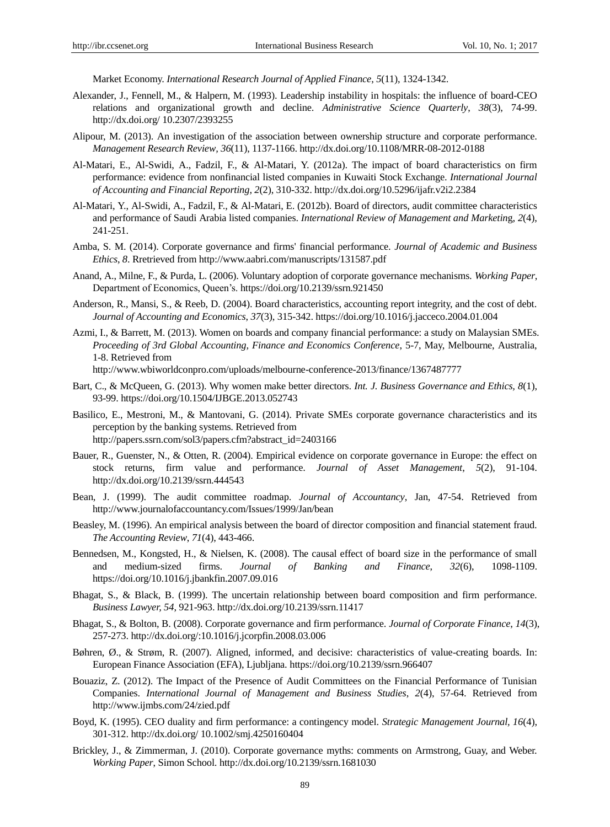Market Economy. *International Research Journal of Applied Finance*, *5*(11), 1324-1342.

- Alexander, J., Fennell, M., & Halpern, M. (1993). Leadership instability in hospitals: the influence of board-CEO relations and organizational growth and decline. *Administrative Science Quarterly*, *38*(3), 74-99. http://dx.doi.org/ 10.2307/2393255
- Alipour, M. (2013). An investigation of the association between ownership structure and corporate performance. *Management Research Review, 36*(11), 1137-1166. http://dx.doi.org/10.1108/MRR-08-2012-0188
- Al-Matari, E., Al-Swidi, A., Fadzil, F., & Al-Matari, Y. (2012a). The impact of board characteristics on firm performance: evidence from nonfinancial listed companies in Kuwaiti Stock Exchange. *International Journal of Accounting and Financial Reporting*, *2*(2), 310-332. http://dx.doi.org/10.5296/ijafr.v2i2.2384
- Al-Matari, Y., Al-Swidi, A., Fadzil, F., & Al-Matari, E. (2012b). Board of directors, audit committee characteristics and performance of Saudi Arabia listed companies. *International Review of Management and Marketin*g, *2*(4), 241-251.
- Amba, S. M. (2014). Corporate governance and firms' financial performance. *Journal of Academic and Business Ethics*, *8*. Rretrieved from http://www.aabri.com/manuscripts/131587.pdf
- Anand, A., Milne, F., & Purda, L. (2006). Voluntary adoption of corporate governance mechanisms. *Working Paper*, Department of Economics, Queen's.<https://doi.org/10.2139/ssrn.921450>
- Anderson, R., Mansi, S., & Reeb, D. (2004). Board characteristics, accounting report integrity, and the cost of debt. *Journal of Accounting and Economics*, *37*(3), 315-342[. https://doi.org/10.1016/j.jacceco.2004.01.004](https://doi.org/10.1016/j.jacceco.2004.01.004)
- Azmi, I., & Barrett, M. (2013). Women on boards and company financial performance: a study on Malaysian SMEs. *Proceeding of 3rd Global Accounting, Finance and Economics Conference*, 5-7, May, Melbourne, Australia, 1-8. Retrieved from

http://www.wbiworldconpro.com/uploads/melbourne-conference-2013/finance/1367487777

- Bart, C., & McQueen, G. (2013). Why women make better directors. *Int. J. Business Governance and Ethics, 8*(1), 93-99.<https://doi.org/10.1504/IJBGE.2013.052743>
- Basilico, E., Mestroni, M., & Mantovani, G. (2014). Private SMEs corporate governance characteristics and its perception by the banking systems. Retrieved from http://papers.ssrn.com/sol3/papers.cfm?abstract\_id=2403166
- Bauer, R., Guenster, N., & Otten, R. (2004). Empirical evidence on corporate governance in Europe: the effect on stock returns, firm value and performance. *Journal of Asset Management*, *5*(2), 91-104. http://dx.doi.org/10.2139/ssrn.444543
- Bean, J. (1999). The audit committee roadmap. *Journal of Accountancy*, Jan, 47-54. Retrieved from http://www.journalofaccountancy.com/Issues/1999/Jan/bean
- Beasley, M. (1996). An empirical analysis between the board of director composition and financial statement fraud. *The Accounting Review*, *71*(4), 443-466.
- Bennedsen, M., Kongsted, H., & Nielsen, K. (2008). The causal effect of board size in the performance of small and medium-sized firms. *Journal of Banking and Finance*, *32*(6), 1098-1109. <https://doi.org/10.1016/j.jbankfin.2007.09.016>
- Bhagat, S., & Black, B. (1999). The uncertain relationship between board composition and firm performance. *Business Lawyer, 54*, 921-963. http://dx.doi.org/10.2139/ssrn.11417
- Bhagat, S., & Bolton, B. (2008). Corporate governance and firm performance. *Journal of Corporate Finance*, *14*(3), 257-273.<http://dx.doi.org/:10.1016/j.jcorpfin.2008.03.006>
- Bøhren, Ø., & Strøm, R. (2007). Aligned, informed, and decisive: characteristics of value-creating boards. In: European Finance Association (EFA), Ljubljana.<https://doi.org/10.2139/ssrn.966407>
- Bouaziz, Z. (2012). The Impact of the Presence of Audit Committees on the Financial Performance of Tunisian Companies. *International Journal of Management and Business Studies*, *2*(4), 57-64. Retrieved from http://www.ijmbs.com/24/zied.pdf
- Boyd, K. (1995). CEO duality and firm performance: a contingency model. *Strategic Management Journal, 16*(4), 301-312. http://dx.doi.org/ 10.1002/smj.4250160404
- Brickley, J., & Zimmerman, J. (2010). Corporate governance myths: comments on Armstrong, Guay, and Weber. *Working Paper*, Simon School. http://dx.doi.org/10.2139/ssrn.1681030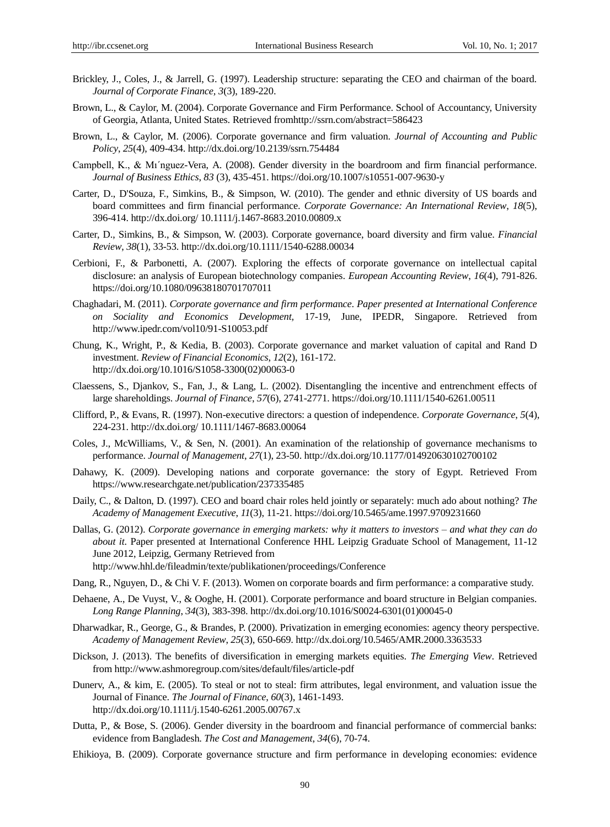- Brickley, J., Coles, J., & Jarrell, G. (1997). Leadership structure: separating the CEO and chairman of the board. *Journal of Corporate Finance, 3*(3), 189-220.
- Brown, L., & Caylor, M. (2004). Corporate Governance and Firm Performance. School of Accountancy, University of Georgia, Atlanta, United States. Retrieved fromhttp://ssrn.com/abstract=586423
- Brown, L., & Caylor, M. (2006). Corporate governance and firm valuation. *Journal of Accounting and Public Policy*, *25*(4), 409-434. http://dx.doi.org/10.2139/ssrn.754484
- Campbell, K., & Mı´nguez-Vera, A. (2008). Gender diversity in the boardroom and firm financial performance. *Journal of Business Ethics*, *83* (3), 435-451.<https://doi.org/10.1007/s10551-007-9630-y>
- Carter, D., D'Souza, F., Simkins, B., & Simpson, W. (2010). The gender and ethnic diversity of US boards and board committees and firm financial performance. *Corporate Governance: An International Review*, *18*(5), 396-414. http://dx.doi.org/ 10.1111/j.1467-8683.2010.00809.x
- Carter, D., Simkins, B., & Simpson, W. (2003). Corporate governance, board diversity and firm value. *Financial Review*, *38*(1), 33-53. http://dx.doi.org/10.1111/1540-6288.00034
- Cerbioni, F., & Parbonetti, A. (2007). Exploring the effects of corporate governance on intellectual capital disclosure: an analysis of European biotechnology companies. *European Accounting Review*, *16*(4), 791-826. <https://doi.org/10.1080/09638180701707011>
- Chaghadari, M. (2011). *Corporate governance and firm performa*n*ce*. *Paper presented at International Conference on Sociality and Economics Development,* 17-19, June, IPEDR, Singapore. Retrieved from http://www.ipedr.com/vol10/91-S10053.pdf
- Chung, K., Wright, P., & Kedia, B. (2003). Corporate governance and market valuation of capital and Rand D investment. *Review of Financial Economics*, *12*(2), 161-172. http://dx.doi.org/10.1016/S1058-3300(02)00063-0
- Claessens, S., Djankov, S., Fan, J., & Lang, L. (2002). Disentangling the incentive and entrenchment effects of large shareholdings. *Journal of Finance*, *57*(6), 2741-2771. <https://doi.org/10.1111/1540-6261.00511>
- Clifford, P., & Evans, R. (1997). Non-executive directors: a question of independence. *Corporate Governance*, *5*(4), 224-231. http://dx.doi.org/ 10.1111/1467-8683.00064
- Coles, J., McWilliams, V., & Sen, N. (2001). An examination of the relationship of governance mechanisms to performance. *Journal of Management*, *27*(1), 23-50. http://dx.doi.org/10.1177/014920630102700102
- Dahawy, K. (2009). Developing nations and corporate governance: the story of Egypt. Retrieved From https://www.researchgate.net/publication/237335485
- Daily, C., & Dalton, D. (1997). CEO and board chair roles held jointly or separately: much ado about nothing? *The Academy of Management Executive*, *11*(3), 11-21[. https://doi.org/10.5465/ame.1997.9709231660](https://doi.org/10.5465/ame.1997.9709231660)
- Dallas, G. (2012). *Corporate governance in emerging markets: why it matters to investors – and what they can do about it*. Paper presented at International Conference HHL Leipzig Graduate School of Management, 11-12 June 2012, Leipzig, Germany Retrieved from

http://www.hhl.de/fileadmin/texte/publikationen/proceedings/Conference

- Dang, R., Nguyen, D., & Chi V. F. (2013). Women on corporate boards and firm performance: a comparative study.
- Dehaene, A., De Vuyst, V., & Ooghe, H. (2001). Corporate performance and board structure in Belgian companies. *Long Range Planning*, *34*(3), 383-398. http://dx.doi.org/10.1016/S0024-6301(01)00045-0
- Dharwadkar, R., George, G., & Brandes, P. (2000). Privatization in emerging economies: agency theory perspective. *Academy of Management Review*, *25*(3), 650-669. http://dx.doi.org/10.5465/AMR.2000.3363533
- Dickson, J. (2013). The benefits of diversification in emerging markets equities. *The Emerging View*. Retrieved from http://www.ashmoregroup.com/sites/default/files/article-pdf
- Dunerv, A., & kim, E. (2005). To steal or not to steal: firm attributes, legal environment, and valuation issue the Journal of Finance. *The Journal of Finance*, *60*(3), 1461-1493. http://dx.doi.org/10.1111/j.1540-6261.2005.00767.x
- Dutta, P., & Bose, S. (2006). Gender diversity in the boardroom and financial performance of commercial banks: evidence from Bangladesh. *The Cost and Management*, *34*(6), 70-74.
- Ehikioya, B. (2009). Corporate governance structure and firm performance in developing economies: evidence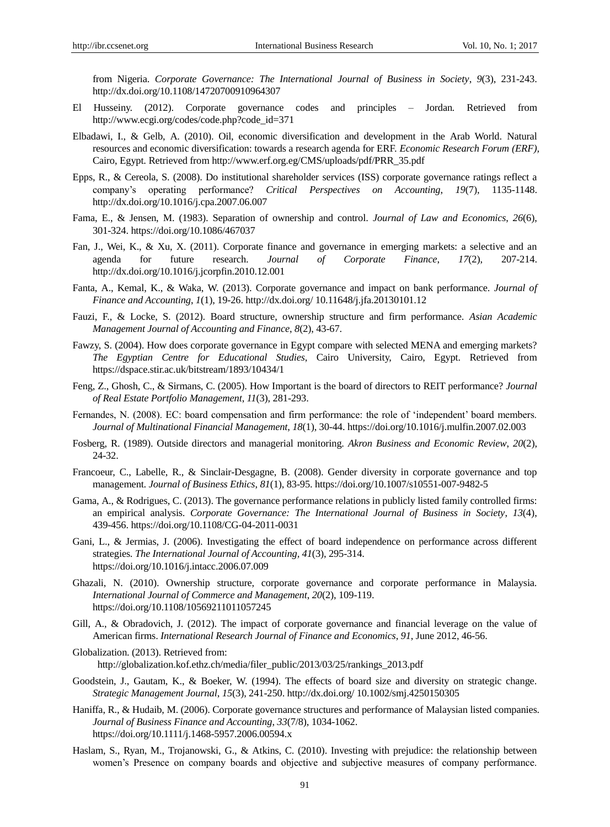from Nigeria. *Corporate Governance: The International Journal of Business in Society*, *9*(3), 231-243. http://dx.doi.org/10.1108/14720700910964307

- El Husseiny. (2012). Corporate governance codes and principles Jordan*.* Retrieved from http://www.ecgi.org/codes/code.php?code\_id=371
- Elbadawi, I., & Gelb, A. (2010). Oil, economic diversification and development in the Arab World. Natural resources and economic diversification: towards a research agenda for ERF. *Economic Research Forum (ERF),*  Cairo, Egypt. Retrieved from http://www.erf.org.eg/CMS/uploads/pdf/PRR\_35.pdf
- Epps, R., & Cereola, S. (2008). Do institutional shareholder services (ISS) corporate governance ratings reflect a company's operating performance? *Critical Perspectives on Accounting*, *19*(7), 1135-1148. http://dx.doi.org/10.1016/j.cpa.2007.06.007
- Fama, E., & Jensen, M. (1983). Separation of ownership and control. *Journal of Law and Economics*, *26*(6), 301-324.<https://doi.org/10.1086/467037>
- Fan, J., Wei, K., & Xu, X. (2011). Corporate finance and governance in emerging markets: a selective and an agenda for future research. *Journal of Corporate Finance*, *17*(2), 207-214. http://dx.doi.org/10.1016/j.jcorpfin.2010.12.001
- Fanta, A., Kemal, K., & Waka, W. (2013). Corporate governance and impact on bank performance. *Journal of Finance and Accounting*, *1*(1), 19-26. http://dx.doi.org/ 10.11648/j.jfa.20130101.12
- Fauzi, F., & Locke, S. (2012). Board structure, ownership structure and firm performance. *Asian Academic Management Journal of Accounting and Finance*, *8*(2), 43-67.
- Fawzy, S. (2004). How does corporate governance in Egypt compare with selected MENA and emerging markets? *The Egyptian Centre for Educational Studies*, Cairo University, Cairo, Egypt. Retrieved from https://dspace.stir.ac.uk/bitstream/1893/10434/1
- Feng, Z., Ghosh, C., & Sirmans, C. (2005). How Important is the board of directors to REIT performance? *Journal of Real Estate Portfolio Management*, *11*(3), 281-293.
- Fernandes, N. (2008). EC: board compensation and firm performance: the role of 'independent' board members. *Journal of Multinational Financial Management*, *18*(1), 30-44[. https://doi.org/10.1016/j.mulfin.2007.02.003](https://doi.org/10.1016/j.mulfin.2007.02.003)
- Fosberg, R. (1989). Outside directors and managerial monitoring. *Akron Business and Economic Review*, *20*(2), 24-32.
- Francoeur, C., Labelle, R., & Sinclair-Desgagne, B. (2008). Gender diversity in corporate governance and top management. *Journal of Business Ethics*, *81*(1), 83-95[. https://doi.org/10.1007/s10551-007-9482-5](https://doi.org/10.1007/s10551-007-9482-5)
- Gama, A., & Rodrigues, C. (2013). The governance performance relations in publicly listed family controlled firms: an empirical analysis. *Corporate Governance: The International Journal of Business in Society*, *13*(4), 439-456.<https://doi.org/10.1108/CG-04-2011-0031>
- Gani, L., & Jermias, J. (2006). Investigating the effect of board independence on performance across different strategies. *The International Journal of Accounting, 41*(3), 295-314. <https://doi.org/10.1016/j.intacc.2006.07.009>
- Ghazali, N. (2010). Ownership structure, corporate governance and corporate performance in Malaysia. *International Journal of Commerce and Management*, *20*(2), 109-119. <https://doi.org/10.1108/10569211011057245>
- Gill, A., & Obradovich, J. (2012). The impact of corporate governance and financial leverage on the value of American firms. *International Research Journal of Finance and Economics*, *91*, June 2012, 46-56.
- Globalization. (2013). Retrieved from: http://globalization.kof.ethz.ch/media/filer\_public/2013/03/25/rankings\_2013.pdf
- Goodstein, J., Gautam, K., & Boeker, W. (1994). The effects of board size and diversity on strategic change. *Strategic Management Journal*, *15*(3), 241-250. http://dx.doi.org/ 10.1002/smj.4250150305
- Haniffa, R., & Hudaib, M. (2006). Corporate governance structures and performance of Malaysian listed companies. *Journal of Business Finance and Accounting*, *33*(7/8), 1034-1062. <https://doi.org/10.1111/j.1468-5957.2006.00594.x>
- Haslam, S., Ryan, M., Trojanowski, G., & Atkins, C. (2010). Investing with prejudice: the relationship between women's Presence on company boards and objective and subjective measures of company performance.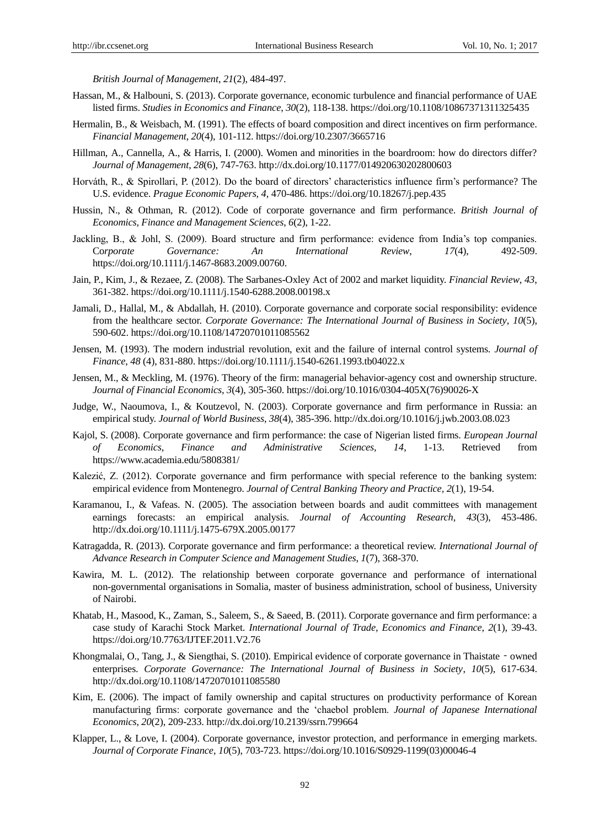*British Journal of Management*, *21*(2), 484-497.

- Hassan, M., & Halbouni, S. (2013). Corporate governance, economic turbulence and financial performance of UAE listed firms. *Studies in Economics and Finance*, *30*(2), 118-138[. https://doi.org/10.1108/10867371311325435](https://doi.org/10.1108/10867371311325435)
- Hermalin, B., & Weisbach, M. (1991). The effects of board composition and direct incentives on firm performance. *Financial Management*, *20*(4), 101-112.<https://doi.org/10.2307/3665716>
- Hillman, A., Cannella, A., & Harris, I. (2000). Women and minorities in the boardroom: how do directors differ? *Journal of Management*, *28*(6), 747-763. http://dx.doi.org/10.1177/014920630202800603
- Horváth, R., & Spirollari, P. (2012). Do the board of directors' characteristics influence firm's performance? The U.S. evidence. *Prague Economic Papers, 4*, 470-486[. https://doi.org/10.18267/j.pep.435](https://doi.org/10.18267/j.pep.435)
- Hussin, N., & Othman, R. (2012). Code of corporate governance and firm performance. *British Journal of Economics, Finance and Management Sciences*, *6*(2), 1-22.
- Jackling, B., & Johl, S. (2009). Board structure and firm performance: evidence from India's top companies. Co*rporate Governance: An International Review*, *17*(4), 492-509. [https://doi.org/10.1111/j.1467-8683.2009.00760.](https://doi.org/10.1111/j.1467-8683.2009.00760.x)
- Jain, P., Kim, J., & Rezaee, Z. (2008). The Sarbanes-Oxley Act of 2002 and market liquidity. *Financial Review*, *43*, 361-382.<https://doi.org/10.1111/j.1540-6288.2008.00198.x>
- Jamali, D., Hallal, M., & Abdallah, H. (2010). Corporate governance and corporate social responsibility: evidence from the healthcare sector. *Corporate Governance: The International Journal of Business in Society*, *10*(5), 590-602.<https://doi.org/10.1108/14720701011085562>
- Jensen, M. (1993). The modern industrial revolution, exit and the failure of internal control systems. *Journal of Finance*, *48* (4), 831-880.<https://doi.org/10.1111/j.1540-6261.1993.tb04022.x>
- Jensen, M., & Meckling, M. (1976). Theory of the firm: managerial behavior-agency cost and ownership structure. *Journal of Financial Economics*, *3*(4), 305-360. [https://doi.org/10.1016/0304-405X\(76\)90026-X](https://doi.org/10.1016/0304-405X(76)90026-X)
- Judge, W., Naoumova, I., & Koutzevol, N. (2003). Corporate governance and firm performance in Russia: an empirical study. *Journal of World Business*, *38*(4), 385-396. http://dx.doi.org/10.1016/j.jwb.2003.08.023
- Kajol, S. (2008). Corporate governance and firm performance: the case of Nigerian listed firms. *European Journal of Economics, Finance and Administrative Sciences, 14*, 1-13. Retrieved from <https://www.academia.edu/5808381/>
- Kalezić, Z. (2012). Corporate governance and firm performance with special reference to the banking system: empirical evidence from Montenegro. *Journal of Central Banking Theory and Practice, 2*(1), 19-54.
- Karamanou, I., & Vafeas. N. (2005). The association between boards and audit committees with management earnings forecasts: an empirical analysis. *Journal of Accounting Research, 43*(3), 453-486. http://dx.doi.org/10.1111/j.1475-679X.2005.00177
- Katragadda, R. (2013). Corporate governance and firm performance: a theoretical review. *International Journal of Advance Research in Computer Science and Management Studies*, *1*(7), 368-370.
- Kawira, M. L. (2012). The relationship between corporate governance and performance of international non-governmental organisations in Somalia, master of business administration, school of business, University of Nairobi.
- Khatab, H., Masood, K., Zaman, S., Saleem, S., & Saeed, B. (2011). Corporate governance and firm performance: a case study of Karachi Stock Market. *International Journal of Trade, Economics and Finance, 2*(1), 39-43. <https://doi.org/10.7763/IJTEF.2011.V2.76>
- Khongmalai, O., Tang, J., & Siengthai, S. (2010). Empirical evidence of corporate governance in Thaistate owned enterprises. *Corporate Governance: The International Journal of Business in Society*, *10*(5), 617-634. http://dx.doi.org/10.1108/14720701011085580
- Kim, E. (2006). The impact of family ownership and capital structures on productivity performance of Korean manufacturing firms: corporate governance and the 'chaebol problem. *Journal of Japanese International Economics*, *20*(2), 209-233. http://dx.doi.org/10.2139/ssrn.799664
- Klapper, L., & Love, I. (2004). Corporate governance, investor protection, and performance in emerging markets. *Journal of Corporate Finance*, *10*(5), 703-723[. https://doi.org/10.1016/S0929-1199\(03\)00046-4](https://doi.org/10.1016/S0929-1199(03)00046-4)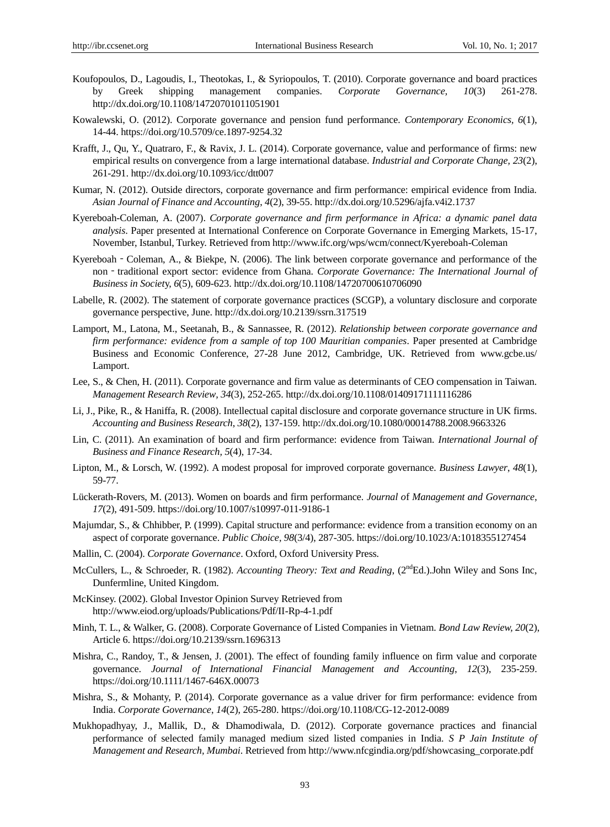- Koufopoulos, D., Lagoudis, I., Theotokas, I., & Syriopoulos, T. (2010). Corporate governance and board practices by Greek shipping management companies. *Corporate Governance, 10*(3) 261-278. http://dx.doi.org/10.1108/14720701011051901
- Kowalewski, O. (2012). Corporate governance and pension fund performance. *Contemporary Economics, 6*(1), 14-44.<https://doi.org/10.5709/ce.1897-9254.32>
- Krafft, J., Qu, Y., Quatraro, F., & Ravix, J. L. (2014). Corporate governance, value and performance of firms: new empirical results on convergence from a large international database. *Industrial and Corporate Change, 23*(2), 261-291. http://dx.doi.org/10.1093/icc/dtt007
- Kumar, N. (2012). Outside directors, corporate governance and firm performance: empirical evidence from India. *Asian Journal of Finance and Accounting*, *4*(2), 39-55. http://dx.doi.org/10.5296/ajfa.v4i2.1737
- Kyereboah-Coleman, A. (2007). *Corporate governance and firm performance in Africa: a dynamic panel data analysis*. Paper presented at International Conference on Corporate Governance in Emerging Markets, 15-17, November, Istanbul, Turkey. Retrieved from http://www.ifc.org/wps/wcm/connect/Kyereboah-Coleman
- Kyereboah Coleman, A., & Biekpe, N. (2006). The link between corporate governance and performance of the non - traditional export sector: evidence from Ghana. *Corporate Governance: The International Journal of Business in Societ*y, *6*(5), 609-623[. http://dx.doi.org/10.1108/14720700610706090](http://dx.doi.org/10.1108/14720700610706090)
- Labelle, R. (2002). The statement of corporate governance practices (SCGP), a voluntary disclosure and corporate governance perspective, June. http://dx.doi.org/10.2139/ssrn.317519
- Lamport, M., Latona, M., Seetanah, B., & Sannassee, R. (2012). *Relationship between corporate governance and firm performance: evidence from a sample of top 100 Mauritian companies*. Paper presented at Cambridge Business and Economic Conference, 27-28 June 2012, Cambridge, UK. Retrieved from www.gcbe.us/ Lamport.
- Lee, S., & Chen, H. (2011). Corporate governance and firm value as determinants of CEO compensation in Taiwan. *Management Research Review, 34*(3), 252-265.<http://dx.doi.org/10.1108/01409171111116286>
- Li, J., Pike, R., & Haniffa, R. (2008). Intellectual capital disclosure and corporate governance structure in UK firms. *Accounting and Business Research*, *38*(2), 137-159. http://dx.doi.org/10.1080/00014788.2008.9663326
- Lin, C. (2011). An examination of board and firm performance: evidence from Taiwan. *International Journal of Business and Finance Research, 5*(4), 17-34.
- Lipton, M., & Lorsch, W. (1992). A modest proposal for improved corporate governance. *Business Lawyer*, *48*(1), 59-77.
- Lückerath-Rovers, M. (2013). Women on boards and firm performance. *Journal o*f *Management and Governance*, *17*(2), 491-509.<https://doi.org/10.1007/s10997-011-9186-1>
- Majumdar, S., & Chhibber, P. (1999). Capital structure and performance: evidence from a transition economy on an aspect of corporate governance. *Public Choice, 98*(3/4), 287-305[. https://doi.org/10.1023/A:1018355127454](https://doi.org/10.1023/A:1018355127454)
- Mallin, C. (2004). *Corporate Governance*. Oxford, Oxford University Press.
- McCullers, L., & Schroeder, R. (1982). *Accounting Theory: Text and Reading*, (2<sup>nd</sup>Ed.).John Wiley and Sons Inc, Dunfermline, United Kingdom.
- McKinsey. (2002). Global Investor Opinion Survey Retrieved from <http://www.eiod.org/uploads/Publications/Pdf/II-Rp-4-1.pdf>
- Minh, T. L., & Walker, G. (2008). Corporate Governance of Listed Companies in Vietnam. *Bond Law Review, 20*(2), Article 6[. https://doi.org/10.2139/ssrn.1696313](https://doi.org/10.2139/ssrn.1696313)
- Mishra, C., Randoy, T., & Jensen, J. (2001). The effect of founding family influence on firm value and corporate governance. *Journal of International Financial Management and Accounting*, *12*(3), 235-259. <https://doi.org/10.1111/1467-646X.00073>
- Mishra, S., & Mohanty, P. (2014). Corporate governance as a value driver for firm performance: evidence from India. *Corporate Governance*, *14*(2), 265-280[. https://doi.org/10.1108/CG-12-2012-0089](https://doi.org/10.1108/CG-12-2012-0089)
- Mukhopadhyay, J., Mallik, D., & Dhamodiwala, D. (2012). Corporate governance practices and financial performance of selected family managed medium sized listed companies in India. *S P Jain Institute of Management and Research, Mumbai*. Retrieved from http://www.nfcgindia.org/pdf/showcasing\_corporate.pdf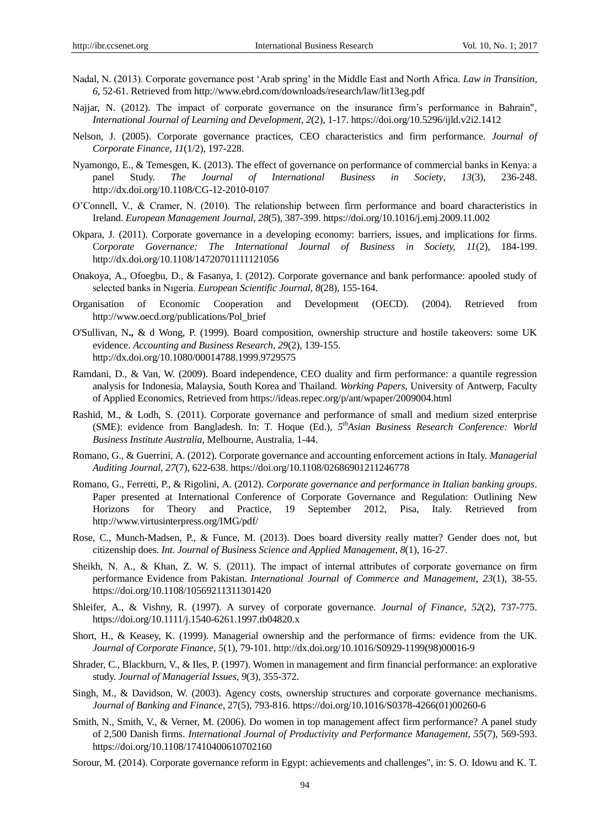- Nadal, N. (2013). Corporate governance post 'Arab spring' in the Middle East and North Africa. *Law in Transition, 6,* 52-61. Retrieved fro[m http://www.ebrd.com/downloads/research/law/lit13eg.pdf](http://www.ebrd.com/downloads/research/law/lit13eg.pdf)
- Najjar, N. (2012). The impact of corporate governance on the insurance firm's performance in Bahrain", *International Journal of Learning and Development*, *2*(2), 1-17.<https://doi.org/10.5296/ijld.v2i2.1412>
- Nelson, J. (2005). Corporate governance practices, CEO characteristics and firm performance. *Journal of Corporate Finance, 11*(1/2), 197-228.
- Nyamongo, E., & Temesgen, K. (2013). The effect of governance on performance of commercial banks in Kenya: a panel Study. *The Journal of International Business in Society*, *13*(3), 236-248. http://dx.doi.org/10.1108/CG-12-2010-0107
- O'Connell, V., & Cramer, N. (2010). The relationship between firm performance and board characteristics in Ireland. *European Management Journal*, *28*(5), 387-399.<https://doi.org/10.1016/j.emj.2009.11.002>
- Okpara, J. (2011). Corporate governance in a developing economy: barriers, issues, and implications for firms. C*orporate Governance: The International Journal of Business in Society, 11*(2), 184-199. <http://dx.doi.org/10.1108/14720701111121056>
- Onakoya, A., Ofoegbu, D., & Fasanya, I. (2012). Corporate governance and bank performance: apooled study of selected banks in Nıgeria. *European Scientific Journal*, *8*(28), 155-164.
- Organisation of Economic Cooperation and Development (OECD). (2004). Retrieved from http://www.oecd.org/publications/Pol\_brief
- O'Sullivan, N**.,** & d Wong, P. (1999). Board composition, ownership structure and hostile takeovers: some UK evidence. *Accounting and Business Research*, *29*(2), 139-155. http://dx.doi.org/10.1080/00014788.1999.9729575
- Ramdani, D., & Van, W. (2009). Board independence, CEO duality and firm performance: a quantile regression analysis for Indonesia, Malaysia, South Korea and Thailand. *Working Papers*, University of Antwerp, Faculty of Applied Economics, Retrieved from https://ideas.repec.org/p/ant/wpaper/2009004.html
- Rashid, M., & Lodh, S. (2011). Corporate governance and performance of small and medium sized enterprise (SME): evidence from Bangladesh. In: T. Hoque (Ed.), *5 thAsian Business Research Conference: World Business Institute Australia*, Melbourne, Australia, 1-44.
- Romano, G., & Guerrini, A. (2012). Corporate governance and accounting enforcement actions in Italy. *Managerial Auditing Journal*, *27*(7), 622-638.<https://doi.org/10.1108/02686901211246778>
- Romano, G., Ferretti, P., & Rigolini, A. (2012). *Corporate governance and performance in Italian banking groups*. Paper presented at International Conference of Corporate Governance and Regulation: Outlining New Horizons for Theory and Practice, 19 September 2012, Pisa, Italy. Retrieved from http://www.virtusinterpress.org/IMG/pdf/
- Rose, C., Munch-Madsen, P., & Funce, M. (2013). Does board diversity really matter? Gender does not, but citizenship does. *Int. Journal of Business Science and Applied Management*, *8*(1), 16-27.
- Sheikh, N. A., & Khan, Z. W. S. (2011). The impact of internal attributes of corporate governance on firm performance Evidence from Pakistan. *International Journal of Commerce and Management, 23*(1), 38-55. <https://doi.org/10.1108/10569211311301420>
- Shleifer, A., & Vishny, R. (1997). A survey of corporate governance. *Journal of Finance*, *52*(2), 737-775. <https://doi.org/10.1111/j.1540-6261.1997.tb04820.x>
- Short, H., & Keasey, K. (1999). Managerial ownership and the performance of firms: evidence from the UK. *Journal of Corporate Finance, 5*(1), 79-101. http://dx.doi.org/10.1016/S0929-1199(98)00016-9
- Shrader, C., Blackburn, V., & Iles, P. (1997). Women in management and firm financial performance: an explorative study. *Journal of Managerial Issues*, *9*(3), 355-372.
- Singh, M., & Davidson, W. (2003). Agency costs, ownership structures and corporate governance mechanisms. *Journal of Banking and Finance*, 27(5), 793-816[. https://doi.org/10.1016/S0378-4266\(01\)00260-6](https://doi.org/10.1016/S0378-4266(01)00260-6)
- Smith, N., Smith, V., & Verner, M. (2006). Do women in top management affect firm performance? A panel study of 2,500 Danish firms. *International Journal of Productivity and Performance Management, 55*(7), 569-593. <https://doi.org/10.1108/17410400610702160>
- Sorour, M. (2014). Corporate governance reform in Egypt: achievements and challenges", in: S. O. Idowu and K. T.